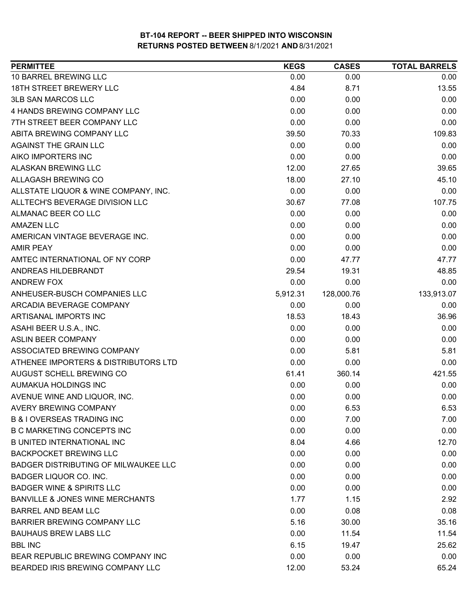| 10 BARREL BREWING LLC<br>0.00<br>0.00<br>0.00<br><b>18TH STREET BREWERY LLC</b><br>4.84<br>8.71<br>13.55<br><b>3LB SAN MARCOS LLC</b><br>0.00<br>0.00<br>0.00<br>4 HANDS BREWING COMPANY LLC<br>0.00<br>0.00<br>0.00<br>7TH STREET BEER COMPANY LLC<br>0.00<br>0.00<br>0.00<br>ABITA BREWING COMPANY LLC<br>39.50<br>70.33<br>109.83<br><b>AGAINST THE GRAIN LLC</b><br>0.00<br>0.00<br>0.00<br>AIKO IMPORTERS INC<br>0.00<br>0.00<br>0.00<br><b>ALASKAN BREWING LLC</b><br>12.00<br>27.65<br>39.65<br>ALLAGASH BREWING CO<br>18.00<br>45.10<br>27.10<br>ALLSTATE LIQUOR & WINE COMPANY, INC.<br>0.00<br>0.00<br>0.00<br>ALLTECH'S BEVERAGE DIVISION LLC<br>30.67<br>107.75<br>77.08<br>ALMANAC BEER CO LLC<br>0.00<br>0.00<br>0.00<br>0.00<br><b>AMAZEN LLC</b><br>0.00<br>0.00<br>AMERICAN VINTAGE BEVERAGE INC.<br>0.00<br>0.00<br>0.00<br>0.00<br>0.00<br>0.00<br><b>AMIR PEAY</b><br>0.00<br>AMTEC INTERNATIONAL OF NY CORP<br>47.77<br>47.77<br>ANDREAS HILDEBRANDT<br>29.54<br>19.31<br>48.85<br><b>ANDREW FOX</b><br>0.00<br>0.00<br>0.00<br>133,913.07<br>ANHEUSER-BUSCH COMPANIES LLC<br>128,000.76<br>5,912.31<br>ARCADIA BEVERAGE COMPANY<br>0.00<br>0.00<br>0.00<br>ARTISANAL IMPORTS INC<br>18.53<br>18.43<br>36.96<br>ASAHI BEER U.S.A., INC.<br>0.00<br>0.00<br>0.00<br>0.00<br><b>ASLIN BEER COMPANY</b><br>0.00<br>0.00<br>0.00<br>5.81<br>5.81<br>ASSOCIATED BREWING COMPANY<br>ATHENEE IMPORTERS & DISTRIBUTORS LTD<br>0.00<br>0.00<br>0.00<br>AUGUST SCHELL BREWING CO<br>61.41<br>421.55<br>360.14<br>AUMAKUA HOLDINGS INC<br>0.00<br>0.00<br>0.00<br>AVENUE WINE AND LIQUOR, INC.<br>0.00<br>0.00<br>0.00<br><b>AVERY BREWING COMPANY</b><br>6.53<br>0.00<br>6.53<br><b>B &amp; I OVERSEAS TRADING INC</b><br>0.00<br>7.00<br>7.00<br><b>B C MARKETING CONCEPTS INC</b><br>0.00<br>0.00<br>0.00<br><b>B UNITED INTERNATIONAL INC</b><br>8.04<br>4.66<br>12.70<br><b>BACKPOCKET BREWING LLC</b><br>0.00<br>0.00<br>0.00<br><b>BADGER DISTRIBUTING OF MILWAUKEE LLC</b><br>0.00<br>0.00<br>0.00<br>BADGER LIQUOR CO. INC.<br>0.00<br>0.00<br>0.00<br><b>BADGER WINE &amp; SPIRITS LLC</b><br>0.00<br>0.00<br>0.00<br><b>BANVILLE &amp; JONES WINE MERCHANTS</b><br>1.77<br>1.15<br>2.92<br>BARREL AND BEAM LLC<br>0.00<br>0.08<br>0.08<br>BARRIER BREWING COMPANY LLC<br>5.16<br>30.00<br>35.16<br><b>BAUHAUS BREW LABS LLC</b><br>0.00<br>11.54<br>11.54<br><b>BBL INC</b><br>6.15<br>25.62<br>19.47<br>BEAR REPUBLIC BREWING COMPANY INC<br>0.00<br>0.00<br>0.00<br>12.00<br>BEARDED IRIS BREWING COMPANY LLC<br>53.24<br>65.24 | <b>PERMITTEE</b> | <b>KEGS</b> | <b>CASES</b> | <b>TOTAL BARRELS</b> |
|--------------------------------------------------------------------------------------------------------------------------------------------------------------------------------------------------------------------------------------------------------------------------------------------------------------------------------------------------------------------------------------------------------------------------------------------------------------------------------------------------------------------------------------------------------------------------------------------------------------------------------------------------------------------------------------------------------------------------------------------------------------------------------------------------------------------------------------------------------------------------------------------------------------------------------------------------------------------------------------------------------------------------------------------------------------------------------------------------------------------------------------------------------------------------------------------------------------------------------------------------------------------------------------------------------------------------------------------------------------------------------------------------------------------------------------------------------------------------------------------------------------------------------------------------------------------------------------------------------------------------------------------------------------------------------------------------------------------------------------------------------------------------------------------------------------------------------------------------------------------------------------------------------------------------------------------------------------------------------------------------------------------------------------------------------------------------------------------------------------------------------------------------------------------------------------------------------------------------------------------------------------------------------------------------------------------------------------------------------------------------------------------------------------------------------------------------------------------------------------------------------------------------------------------------------|------------------|-------------|--------------|----------------------|
|                                                                                                                                                                                                                                                                                                                                                                                                                                                                                                                                                                                                                                                                                                                                                                                                                                                                                                                                                                                                                                                                                                                                                                                                                                                                                                                                                                                                                                                                                                                                                                                                                                                                                                                                                                                                                                                                                                                                                                                                                                                                                                                                                                                                                                                                                                                                                                                                                                                                                                                                                        |                  |             |              |                      |
|                                                                                                                                                                                                                                                                                                                                                                                                                                                                                                                                                                                                                                                                                                                                                                                                                                                                                                                                                                                                                                                                                                                                                                                                                                                                                                                                                                                                                                                                                                                                                                                                                                                                                                                                                                                                                                                                                                                                                                                                                                                                                                                                                                                                                                                                                                                                                                                                                                                                                                                                                        |                  |             |              |                      |
|                                                                                                                                                                                                                                                                                                                                                                                                                                                                                                                                                                                                                                                                                                                                                                                                                                                                                                                                                                                                                                                                                                                                                                                                                                                                                                                                                                                                                                                                                                                                                                                                                                                                                                                                                                                                                                                                                                                                                                                                                                                                                                                                                                                                                                                                                                                                                                                                                                                                                                                                                        |                  |             |              |                      |
|                                                                                                                                                                                                                                                                                                                                                                                                                                                                                                                                                                                                                                                                                                                                                                                                                                                                                                                                                                                                                                                                                                                                                                                                                                                                                                                                                                                                                                                                                                                                                                                                                                                                                                                                                                                                                                                                                                                                                                                                                                                                                                                                                                                                                                                                                                                                                                                                                                                                                                                                                        |                  |             |              |                      |
|                                                                                                                                                                                                                                                                                                                                                                                                                                                                                                                                                                                                                                                                                                                                                                                                                                                                                                                                                                                                                                                                                                                                                                                                                                                                                                                                                                                                                                                                                                                                                                                                                                                                                                                                                                                                                                                                                                                                                                                                                                                                                                                                                                                                                                                                                                                                                                                                                                                                                                                                                        |                  |             |              |                      |
|                                                                                                                                                                                                                                                                                                                                                                                                                                                                                                                                                                                                                                                                                                                                                                                                                                                                                                                                                                                                                                                                                                                                                                                                                                                                                                                                                                                                                                                                                                                                                                                                                                                                                                                                                                                                                                                                                                                                                                                                                                                                                                                                                                                                                                                                                                                                                                                                                                                                                                                                                        |                  |             |              |                      |
|                                                                                                                                                                                                                                                                                                                                                                                                                                                                                                                                                                                                                                                                                                                                                                                                                                                                                                                                                                                                                                                                                                                                                                                                                                                                                                                                                                                                                                                                                                                                                                                                                                                                                                                                                                                                                                                                                                                                                                                                                                                                                                                                                                                                                                                                                                                                                                                                                                                                                                                                                        |                  |             |              |                      |
|                                                                                                                                                                                                                                                                                                                                                                                                                                                                                                                                                                                                                                                                                                                                                                                                                                                                                                                                                                                                                                                                                                                                                                                                                                                                                                                                                                                                                                                                                                                                                                                                                                                                                                                                                                                                                                                                                                                                                                                                                                                                                                                                                                                                                                                                                                                                                                                                                                                                                                                                                        |                  |             |              |                      |
|                                                                                                                                                                                                                                                                                                                                                                                                                                                                                                                                                                                                                                                                                                                                                                                                                                                                                                                                                                                                                                                                                                                                                                                                                                                                                                                                                                                                                                                                                                                                                                                                                                                                                                                                                                                                                                                                                                                                                                                                                                                                                                                                                                                                                                                                                                                                                                                                                                                                                                                                                        |                  |             |              |                      |
|                                                                                                                                                                                                                                                                                                                                                                                                                                                                                                                                                                                                                                                                                                                                                                                                                                                                                                                                                                                                                                                                                                                                                                                                                                                                                                                                                                                                                                                                                                                                                                                                                                                                                                                                                                                                                                                                                                                                                                                                                                                                                                                                                                                                                                                                                                                                                                                                                                                                                                                                                        |                  |             |              |                      |
|                                                                                                                                                                                                                                                                                                                                                                                                                                                                                                                                                                                                                                                                                                                                                                                                                                                                                                                                                                                                                                                                                                                                                                                                                                                                                                                                                                                                                                                                                                                                                                                                                                                                                                                                                                                                                                                                                                                                                                                                                                                                                                                                                                                                                                                                                                                                                                                                                                                                                                                                                        |                  |             |              |                      |
|                                                                                                                                                                                                                                                                                                                                                                                                                                                                                                                                                                                                                                                                                                                                                                                                                                                                                                                                                                                                                                                                                                                                                                                                                                                                                                                                                                                                                                                                                                                                                                                                                                                                                                                                                                                                                                                                                                                                                                                                                                                                                                                                                                                                                                                                                                                                                                                                                                                                                                                                                        |                  |             |              |                      |
|                                                                                                                                                                                                                                                                                                                                                                                                                                                                                                                                                                                                                                                                                                                                                                                                                                                                                                                                                                                                                                                                                                                                                                                                                                                                                                                                                                                                                                                                                                                                                                                                                                                                                                                                                                                                                                                                                                                                                                                                                                                                                                                                                                                                                                                                                                                                                                                                                                                                                                                                                        |                  |             |              |                      |
|                                                                                                                                                                                                                                                                                                                                                                                                                                                                                                                                                                                                                                                                                                                                                                                                                                                                                                                                                                                                                                                                                                                                                                                                                                                                                                                                                                                                                                                                                                                                                                                                                                                                                                                                                                                                                                                                                                                                                                                                                                                                                                                                                                                                                                                                                                                                                                                                                                                                                                                                                        |                  |             |              |                      |
|                                                                                                                                                                                                                                                                                                                                                                                                                                                                                                                                                                                                                                                                                                                                                                                                                                                                                                                                                                                                                                                                                                                                                                                                                                                                                                                                                                                                                                                                                                                                                                                                                                                                                                                                                                                                                                                                                                                                                                                                                                                                                                                                                                                                                                                                                                                                                                                                                                                                                                                                                        |                  |             |              |                      |
|                                                                                                                                                                                                                                                                                                                                                                                                                                                                                                                                                                                                                                                                                                                                                                                                                                                                                                                                                                                                                                                                                                                                                                                                                                                                                                                                                                                                                                                                                                                                                                                                                                                                                                                                                                                                                                                                                                                                                                                                                                                                                                                                                                                                                                                                                                                                                                                                                                                                                                                                                        |                  |             |              |                      |
|                                                                                                                                                                                                                                                                                                                                                                                                                                                                                                                                                                                                                                                                                                                                                                                                                                                                                                                                                                                                                                                                                                                                                                                                                                                                                                                                                                                                                                                                                                                                                                                                                                                                                                                                                                                                                                                                                                                                                                                                                                                                                                                                                                                                                                                                                                                                                                                                                                                                                                                                                        |                  |             |              |                      |
|                                                                                                                                                                                                                                                                                                                                                                                                                                                                                                                                                                                                                                                                                                                                                                                                                                                                                                                                                                                                                                                                                                                                                                                                                                                                                                                                                                                                                                                                                                                                                                                                                                                                                                                                                                                                                                                                                                                                                                                                                                                                                                                                                                                                                                                                                                                                                                                                                                                                                                                                                        |                  |             |              |                      |
|                                                                                                                                                                                                                                                                                                                                                                                                                                                                                                                                                                                                                                                                                                                                                                                                                                                                                                                                                                                                                                                                                                                                                                                                                                                                                                                                                                                                                                                                                                                                                                                                                                                                                                                                                                                                                                                                                                                                                                                                                                                                                                                                                                                                                                                                                                                                                                                                                                                                                                                                                        |                  |             |              |                      |
|                                                                                                                                                                                                                                                                                                                                                                                                                                                                                                                                                                                                                                                                                                                                                                                                                                                                                                                                                                                                                                                                                                                                                                                                                                                                                                                                                                                                                                                                                                                                                                                                                                                                                                                                                                                                                                                                                                                                                                                                                                                                                                                                                                                                                                                                                                                                                                                                                                                                                                                                                        |                  |             |              |                      |
|                                                                                                                                                                                                                                                                                                                                                                                                                                                                                                                                                                                                                                                                                                                                                                                                                                                                                                                                                                                                                                                                                                                                                                                                                                                                                                                                                                                                                                                                                                                                                                                                                                                                                                                                                                                                                                                                                                                                                                                                                                                                                                                                                                                                                                                                                                                                                                                                                                                                                                                                                        |                  |             |              |                      |
|                                                                                                                                                                                                                                                                                                                                                                                                                                                                                                                                                                                                                                                                                                                                                                                                                                                                                                                                                                                                                                                                                                                                                                                                                                                                                                                                                                                                                                                                                                                                                                                                                                                                                                                                                                                                                                                                                                                                                                                                                                                                                                                                                                                                                                                                                                                                                                                                                                                                                                                                                        |                  |             |              |                      |
|                                                                                                                                                                                                                                                                                                                                                                                                                                                                                                                                                                                                                                                                                                                                                                                                                                                                                                                                                                                                                                                                                                                                                                                                                                                                                                                                                                                                                                                                                                                                                                                                                                                                                                                                                                                                                                                                                                                                                                                                                                                                                                                                                                                                                                                                                                                                                                                                                                                                                                                                                        |                  |             |              |                      |
|                                                                                                                                                                                                                                                                                                                                                                                                                                                                                                                                                                                                                                                                                                                                                                                                                                                                                                                                                                                                                                                                                                                                                                                                                                                                                                                                                                                                                                                                                                                                                                                                                                                                                                                                                                                                                                                                                                                                                                                                                                                                                                                                                                                                                                                                                                                                                                                                                                                                                                                                                        |                  |             |              |                      |
|                                                                                                                                                                                                                                                                                                                                                                                                                                                                                                                                                                                                                                                                                                                                                                                                                                                                                                                                                                                                                                                                                                                                                                                                                                                                                                                                                                                                                                                                                                                                                                                                                                                                                                                                                                                                                                                                                                                                                                                                                                                                                                                                                                                                                                                                                                                                                                                                                                                                                                                                                        |                  |             |              |                      |
|                                                                                                                                                                                                                                                                                                                                                                                                                                                                                                                                                                                                                                                                                                                                                                                                                                                                                                                                                                                                                                                                                                                                                                                                                                                                                                                                                                                                                                                                                                                                                                                                                                                                                                                                                                                                                                                                                                                                                                                                                                                                                                                                                                                                                                                                                                                                                                                                                                                                                                                                                        |                  |             |              |                      |
|                                                                                                                                                                                                                                                                                                                                                                                                                                                                                                                                                                                                                                                                                                                                                                                                                                                                                                                                                                                                                                                                                                                                                                                                                                                                                                                                                                                                                                                                                                                                                                                                                                                                                                                                                                                                                                                                                                                                                                                                                                                                                                                                                                                                                                                                                                                                                                                                                                                                                                                                                        |                  |             |              |                      |
|                                                                                                                                                                                                                                                                                                                                                                                                                                                                                                                                                                                                                                                                                                                                                                                                                                                                                                                                                                                                                                                                                                                                                                                                                                                                                                                                                                                                                                                                                                                                                                                                                                                                                                                                                                                                                                                                                                                                                                                                                                                                                                                                                                                                                                                                                                                                                                                                                                                                                                                                                        |                  |             |              |                      |
|                                                                                                                                                                                                                                                                                                                                                                                                                                                                                                                                                                                                                                                                                                                                                                                                                                                                                                                                                                                                                                                                                                                                                                                                                                                                                                                                                                                                                                                                                                                                                                                                                                                                                                                                                                                                                                                                                                                                                                                                                                                                                                                                                                                                                                                                                                                                                                                                                                                                                                                                                        |                  |             |              |                      |
|                                                                                                                                                                                                                                                                                                                                                                                                                                                                                                                                                                                                                                                                                                                                                                                                                                                                                                                                                                                                                                                                                                                                                                                                                                                                                                                                                                                                                                                                                                                                                                                                                                                                                                                                                                                                                                                                                                                                                                                                                                                                                                                                                                                                                                                                                                                                                                                                                                                                                                                                                        |                  |             |              |                      |
|                                                                                                                                                                                                                                                                                                                                                                                                                                                                                                                                                                                                                                                                                                                                                                                                                                                                                                                                                                                                                                                                                                                                                                                                                                                                                                                                                                                                                                                                                                                                                                                                                                                                                                                                                                                                                                                                                                                                                                                                                                                                                                                                                                                                                                                                                                                                                                                                                                                                                                                                                        |                  |             |              |                      |
|                                                                                                                                                                                                                                                                                                                                                                                                                                                                                                                                                                                                                                                                                                                                                                                                                                                                                                                                                                                                                                                                                                                                                                                                                                                                                                                                                                                                                                                                                                                                                                                                                                                                                                                                                                                                                                                                                                                                                                                                                                                                                                                                                                                                                                                                                                                                                                                                                                                                                                                                                        |                  |             |              |                      |
|                                                                                                                                                                                                                                                                                                                                                                                                                                                                                                                                                                                                                                                                                                                                                                                                                                                                                                                                                                                                                                                                                                                                                                                                                                                                                                                                                                                                                                                                                                                                                                                                                                                                                                                                                                                                                                                                                                                                                                                                                                                                                                                                                                                                                                                                                                                                                                                                                                                                                                                                                        |                  |             |              |                      |
|                                                                                                                                                                                                                                                                                                                                                                                                                                                                                                                                                                                                                                                                                                                                                                                                                                                                                                                                                                                                                                                                                                                                                                                                                                                                                                                                                                                                                                                                                                                                                                                                                                                                                                                                                                                                                                                                                                                                                                                                                                                                                                                                                                                                                                                                                                                                                                                                                                                                                                                                                        |                  |             |              |                      |
|                                                                                                                                                                                                                                                                                                                                                                                                                                                                                                                                                                                                                                                                                                                                                                                                                                                                                                                                                                                                                                                                                                                                                                                                                                                                                                                                                                                                                                                                                                                                                                                                                                                                                                                                                                                                                                                                                                                                                                                                                                                                                                                                                                                                                                                                                                                                                                                                                                                                                                                                                        |                  |             |              |                      |
|                                                                                                                                                                                                                                                                                                                                                                                                                                                                                                                                                                                                                                                                                                                                                                                                                                                                                                                                                                                                                                                                                                                                                                                                                                                                                                                                                                                                                                                                                                                                                                                                                                                                                                                                                                                                                                                                                                                                                                                                                                                                                                                                                                                                                                                                                                                                                                                                                                                                                                                                                        |                  |             |              |                      |
|                                                                                                                                                                                                                                                                                                                                                                                                                                                                                                                                                                                                                                                                                                                                                                                                                                                                                                                                                                                                                                                                                                                                                                                                                                                                                                                                                                                                                                                                                                                                                                                                                                                                                                                                                                                                                                                                                                                                                                                                                                                                                                                                                                                                                                                                                                                                                                                                                                                                                                                                                        |                  |             |              |                      |
|                                                                                                                                                                                                                                                                                                                                                                                                                                                                                                                                                                                                                                                                                                                                                                                                                                                                                                                                                                                                                                                                                                                                                                                                                                                                                                                                                                                                                                                                                                                                                                                                                                                                                                                                                                                                                                                                                                                                                                                                                                                                                                                                                                                                                                                                                                                                                                                                                                                                                                                                                        |                  |             |              |                      |
|                                                                                                                                                                                                                                                                                                                                                                                                                                                                                                                                                                                                                                                                                                                                                                                                                                                                                                                                                                                                                                                                                                                                                                                                                                                                                                                                                                                                                                                                                                                                                                                                                                                                                                                                                                                                                                                                                                                                                                                                                                                                                                                                                                                                                                                                                                                                                                                                                                                                                                                                                        |                  |             |              |                      |
|                                                                                                                                                                                                                                                                                                                                                                                                                                                                                                                                                                                                                                                                                                                                                                                                                                                                                                                                                                                                                                                                                                                                                                                                                                                                                                                                                                                                                                                                                                                                                                                                                                                                                                                                                                                                                                                                                                                                                                                                                                                                                                                                                                                                                                                                                                                                                                                                                                                                                                                                                        |                  |             |              |                      |
|                                                                                                                                                                                                                                                                                                                                                                                                                                                                                                                                                                                                                                                                                                                                                                                                                                                                                                                                                                                                                                                                                                                                                                                                                                                                                                                                                                                                                                                                                                                                                                                                                                                                                                                                                                                                                                                                                                                                                                                                                                                                                                                                                                                                                                                                                                                                                                                                                                                                                                                                                        |                  |             |              |                      |
|                                                                                                                                                                                                                                                                                                                                                                                                                                                                                                                                                                                                                                                                                                                                                                                                                                                                                                                                                                                                                                                                                                                                                                                                                                                                                                                                                                                                                                                                                                                                                                                                                                                                                                                                                                                                                                                                                                                                                                                                                                                                                                                                                                                                                                                                                                                                                                                                                                                                                                                                                        |                  |             |              |                      |
|                                                                                                                                                                                                                                                                                                                                                                                                                                                                                                                                                                                                                                                                                                                                                                                                                                                                                                                                                                                                                                                                                                                                                                                                                                                                                                                                                                                                                                                                                                                                                                                                                                                                                                                                                                                                                                                                                                                                                                                                                                                                                                                                                                                                                                                                                                                                                                                                                                                                                                                                                        |                  |             |              |                      |
|                                                                                                                                                                                                                                                                                                                                                                                                                                                                                                                                                                                                                                                                                                                                                                                                                                                                                                                                                                                                                                                                                                                                                                                                                                                                                                                                                                                                                                                                                                                                                                                                                                                                                                                                                                                                                                                                                                                                                                                                                                                                                                                                                                                                                                                                                                                                                                                                                                                                                                                                                        |                  |             |              |                      |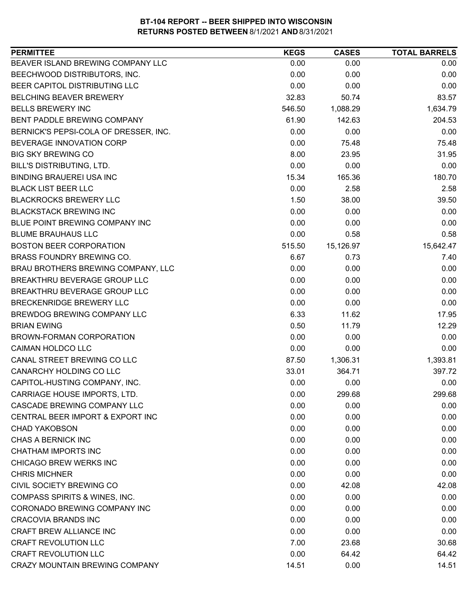| <b>PERMITTEE</b>                         | <b>KEGS</b> | <b>CASES</b> | <b>TOTAL BARRELS</b> |
|------------------------------------------|-------------|--------------|----------------------|
| BEAVER ISLAND BREWING COMPANY LLC        | 0.00        | 0.00         | 0.00                 |
| BEECHWOOD DISTRIBUTORS, INC.             | 0.00        | 0.00         | 0.00                 |
| BEER CAPITOL DISTRIBUTING LLC            | 0.00        | 0.00         | 0.00                 |
| <b>BELCHING BEAVER BREWERY</b>           | 32.83       | 50.74        | 83.57                |
| <b>BELLS BREWERY INC</b>                 | 546.50      | 1,088.29     | 1,634.79             |
| BENT PADDLE BREWING COMPANY              | 61.90       | 142.63       | 204.53               |
| BERNICK'S PEPSI-COLA OF DRESSER, INC.    | 0.00        | 0.00         | 0.00                 |
| BEVERAGE INNOVATION CORP                 | 0.00        | 75.48        | 75.48                |
| <b>BIG SKY BREWING CO</b>                | 8.00        | 23.95        | 31.95                |
| BILL'S DISTRIBUTING, LTD.                | 0.00        | 0.00         | 0.00                 |
| <b>BINDING BRAUEREI USA INC</b>          | 15.34       | 165.36       | 180.70               |
| <b>BLACK LIST BEER LLC</b>               | 0.00        | 2.58         | 2.58                 |
| <b>BLACKROCKS BREWERY LLC</b>            | 1.50        | 38.00        | 39.50                |
| <b>BLACKSTACK BREWING INC</b>            | 0.00        | 0.00         | 0.00                 |
| BLUE POINT BREWING COMPANY INC           | 0.00        | 0.00         | 0.00                 |
| <b>BLUME BRAUHAUS LLC</b>                | 0.00        | 0.58         | 0.58                 |
| <b>BOSTON BEER CORPORATION</b>           | 515.50      | 15,126.97    | 15,642.47            |
| BRASS FOUNDRY BREWING CO.                | 6.67        | 0.73         | 7.40                 |
| BRAU BROTHERS BREWING COMPANY, LLC       | 0.00        | 0.00         | 0.00                 |
| BREAKTHRU BEVERAGE GROUP LLC             | 0.00        | 0.00         | 0.00                 |
| BREAKTHRU BEVERAGE GROUP LLC             | 0.00        | 0.00         | 0.00                 |
| BRECKENRIDGE BREWERY LLC                 | 0.00        | 0.00         | 0.00                 |
| BREWDOG BREWING COMPANY LLC              | 6.33        | 11.62        | 17.95                |
| <b>BRIAN EWING</b>                       | 0.50        | 11.79        | 12.29                |
| BROWN-FORMAN CORPORATION                 | 0.00        | 0.00         | 0.00                 |
| CAIMAN HOLDCO LLC                        | 0.00        | 0.00         | 0.00                 |
| CANAL STREET BREWING CO LLC              | 87.50       | 1,306.31     | 1,393.81             |
| CANARCHY HOLDING CO LLC                  | 33.01       | 364.71       | 397.72               |
| CAPITOL-HUSTING COMPANY, INC.            | 0.00        | 0.00         | 0.00                 |
| CARRIAGE HOUSE IMPORTS, LTD.             | 0.00        | 299.68       | 299.68               |
| <b>CASCADE BREWING COMPANY LLC</b>       | 0.00        | 0.00         | 0.00                 |
| CENTRAL BEER IMPORT & EXPORT INC         | 0.00        | 0.00         | 0.00                 |
| <b>CHAD YAKOBSON</b>                     | 0.00        | 0.00         | 0.00                 |
| CHAS A BERNICK INC                       | 0.00        | 0.00         | 0.00                 |
| <b>CHATHAM IMPORTS INC</b>               | 0.00        | 0.00         | 0.00                 |
| CHICAGO BREW WERKS INC                   | 0.00        | 0.00         | 0.00                 |
| <b>CHRIS MICHNER</b>                     | 0.00        | 0.00         | 0.00                 |
| CIVIL SOCIETY BREWING CO                 | 0.00        | 42.08        | 42.08                |
| <b>COMPASS SPIRITS &amp; WINES, INC.</b> | 0.00        | 0.00         | 0.00                 |
| CORONADO BREWING COMPANY INC             | 0.00        | 0.00         | 0.00                 |
| <b>CRACOVIA BRANDS INC</b>               | 0.00        | 0.00         | 0.00                 |
| CRAFT BREW ALLIANCE INC                  | 0.00        | 0.00         | 0.00                 |
| <b>CRAFT REVOLUTION LLC</b>              | 7.00        | 23.68        | 30.68                |
| <b>CRAFT REVOLUTION LLC</b>              | 0.00        | 64.42        | 64.42                |
| CRAZY MOUNTAIN BREWING COMPANY           | 14.51       | 0.00         | 14.51                |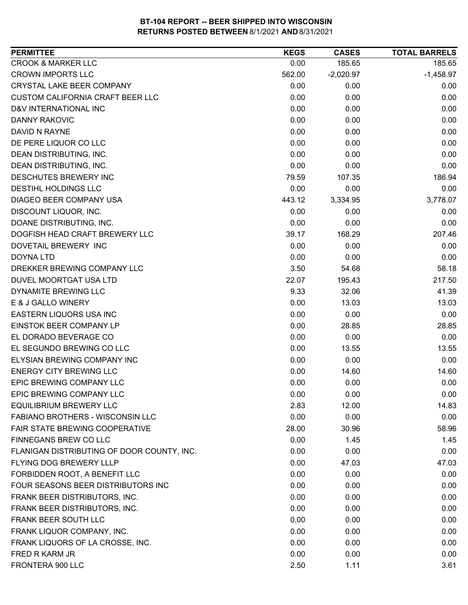| <b>CROOK &amp; MARKER LLC</b><br>185.65<br>0.00<br>185.65<br><b>CROWN IMPORTS LLC</b><br>562.00<br>$-2,020.97$<br>$-1,458.97$<br><b>CRYSTAL LAKE BEER COMPANY</b><br>0.00<br>0.00<br>0.00<br><b>CUSTOM CALIFORNIA CRAFT BEER LLC</b><br>0.00<br>0.00<br>0.00<br>D&V INTERNATIONAL INC<br>0.00<br>0.00<br>0.00<br><b>DANNY RAKOVIC</b><br>0.00<br>0.00<br>0.00<br>DAVID N RAYNE<br>0.00<br>0.00<br>0.00<br>0.00<br>DE PERE LIQUOR CO LLC<br>0.00<br>0.00<br>0.00<br>DEAN DISTRIBUTING, INC.<br>0.00<br>0.00<br>DEAN DISTRIBUTING, INC.<br>0.00<br>0.00<br>0.00<br>DESCHUTES BREWERY INC<br>79.59<br>107.35<br>186.94<br><b>DESTIHL HOLDINGS LLC</b><br>0.00<br>0.00<br>0.00<br>DIAGEO BEER COMPANY USA<br>3,778.07<br>443.12<br>3,334.95<br>DISCOUNT LIQUOR, INC.<br>0.00<br>0.00<br>0.00<br>0.00<br>DOANE DISTRIBUTING, INC.<br>0.00<br>0.00<br>DOGFISH HEAD CRAFT BREWERY LLC<br>39.17<br>168.29<br>207.46<br>DOVETAIL BREWERY INC<br>0.00<br>0.00<br>0.00<br>0.00<br>0.00<br><b>DOYNA LTD</b><br>0.00<br>DREKKER BREWING COMPANY LLC<br>3.50<br>58.18<br>54.68<br>22.07<br>217.50<br>DUVEL MOORTGAT USA LTD<br>195.43<br>DYNAMITE BREWING LLC<br>9.33<br>32.06<br>41.39<br>E & J GALLO WINERY<br>0.00<br>13.03<br>13.03<br>EASTERN LIQUORS USA INC<br>0.00<br>0.00<br>0.00<br>EINSTOK BEER COMPANY LP<br>0.00<br>28.85<br>28.85 |
|-----------------------------------------------------------------------------------------------------------------------------------------------------------------------------------------------------------------------------------------------------------------------------------------------------------------------------------------------------------------------------------------------------------------------------------------------------------------------------------------------------------------------------------------------------------------------------------------------------------------------------------------------------------------------------------------------------------------------------------------------------------------------------------------------------------------------------------------------------------------------------------------------------------------------------------------------------------------------------------------------------------------------------------------------------------------------------------------------------------------------------------------------------------------------------------------------------------------------------------------------------------------------------------------------------------------------------------|
|                                                                                                                                                                                                                                                                                                                                                                                                                                                                                                                                                                                                                                                                                                                                                                                                                                                                                                                                                                                                                                                                                                                                                                                                                                                                                                                                   |
|                                                                                                                                                                                                                                                                                                                                                                                                                                                                                                                                                                                                                                                                                                                                                                                                                                                                                                                                                                                                                                                                                                                                                                                                                                                                                                                                   |
|                                                                                                                                                                                                                                                                                                                                                                                                                                                                                                                                                                                                                                                                                                                                                                                                                                                                                                                                                                                                                                                                                                                                                                                                                                                                                                                                   |
|                                                                                                                                                                                                                                                                                                                                                                                                                                                                                                                                                                                                                                                                                                                                                                                                                                                                                                                                                                                                                                                                                                                                                                                                                                                                                                                                   |
|                                                                                                                                                                                                                                                                                                                                                                                                                                                                                                                                                                                                                                                                                                                                                                                                                                                                                                                                                                                                                                                                                                                                                                                                                                                                                                                                   |
|                                                                                                                                                                                                                                                                                                                                                                                                                                                                                                                                                                                                                                                                                                                                                                                                                                                                                                                                                                                                                                                                                                                                                                                                                                                                                                                                   |
|                                                                                                                                                                                                                                                                                                                                                                                                                                                                                                                                                                                                                                                                                                                                                                                                                                                                                                                                                                                                                                                                                                                                                                                                                                                                                                                                   |
|                                                                                                                                                                                                                                                                                                                                                                                                                                                                                                                                                                                                                                                                                                                                                                                                                                                                                                                                                                                                                                                                                                                                                                                                                                                                                                                                   |
|                                                                                                                                                                                                                                                                                                                                                                                                                                                                                                                                                                                                                                                                                                                                                                                                                                                                                                                                                                                                                                                                                                                                                                                                                                                                                                                                   |
|                                                                                                                                                                                                                                                                                                                                                                                                                                                                                                                                                                                                                                                                                                                                                                                                                                                                                                                                                                                                                                                                                                                                                                                                                                                                                                                                   |
|                                                                                                                                                                                                                                                                                                                                                                                                                                                                                                                                                                                                                                                                                                                                                                                                                                                                                                                                                                                                                                                                                                                                                                                                                                                                                                                                   |
|                                                                                                                                                                                                                                                                                                                                                                                                                                                                                                                                                                                                                                                                                                                                                                                                                                                                                                                                                                                                                                                                                                                                                                                                                                                                                                                                   |
|                                                                                                                                                                                                                                                                                                                                                                                                                                                                                                                                                                                                                                                                                                                                                                                                                                                                                                                                                                                                                                                                                                                                                                                                                                                                                                                                   |
|                                                                                                                                                                                                                                                                                                                                                                                                                                                                                                                                                                                                                                                                                                                                                                                                                                                                                                                                                                                                                                                                                                                                                                                                                                                                                                                                   |
|                                                                                                                                                                                                                                                                                                                                                                                                                                                                                                                                                                                                                                                                                                                                                                                                                                                                                                                                                                                                                                                                                                                                                                                                                                                                                                                                   |
|                                                                                                                                                                                                                                                                                                                                                                                                                                                                                                                                                                                                                                                                                                                                                                                                                                                                                                                                                                                                                                                                                                                                                                                                                                                                                                                                   |
|                                                                                                                                                                                                                                                                                                                                                                                                                                                                                                                                                                                                                                                                                                                                                                                                                                                                                                                                                                                                                                                                                                                                                                                                                                                                                                                                   |
|                                                                                                                                                                                                                                                                                                                                                                                                                                                                                                                                                                                                                                                                                                                                                                                                                                                                                                                                                                                                                                                                                                                                                                                                                                                                                                                                   |
|                                                                                                                                                                                                                                                                                                                                                                                                                                                                                                                                                                                                                                                                                                                                                                                                                                                                                                                                                                                                                                                                                                                                                                                                                                                                                                                                   |
|                                                                                                                                                                                                                                                                                                                                                                                                                                                                                                                                                                                                                                                                                                                                                                                                                                                                                                                                                                                                                                                                                                                                                                                                                                                                                                                                   |
|                                                                                                                                                                                                                                                                                                                                                                                                                                                                                                                                                                                                                                                                                                                                                                                                                                                                                                                                                                                                                                                                                                                                                                                                                                                                                                                                   |
|                                                                                                                                                                                                                                                                                                                                                                                                                                                                                                                                                                                                                                                                                                                                                                                                                                                                                                                                                                                                                                                                                                                                                                                                                                                                                                                                   |
|                                                                                                                                                                                                                                                                                                                                                                                                                                                                                                                                                                                                                                                                                                                                                                                                                                                                                                                                                                                                                                                                                                                                                                                                                                                                                                                                   |
|                                                                                                                                                                                                                                                                                                                                                                                                                                                                                                                                                                                                                                                                                                                                                                                                                                                                                                                                                                                                                                                                                                                                                                                                                                                                                                                                   |
| 0.00<br>EL DORADO BEVERAGE CO<br>0.00<br>0.00                                                                                                                                                                                                                                                                                                                                                                                                                                                                                                                                                                                                                                                                                                                                                                                                                                                                                                                                                                                                                                                                                                                                                                                                                                                                                     |
| EL SEGUNDO BREWING CO LLC<br>0.00<br>13.55<br>13.55                                                                                                                                                                                                                                                                                                                                                                                                                                                                                                                                                                                                                                                                                                                                                                                                                                                                                                                                                                                                                                                                                                                                                                                                                                                                               |
| ELYSIAN BREWING COMPANY INC<br>0.00<br>0.00<br>0.00                                                                                                                                                                                                                                                                                                                                                                                                                                                                                                                                                                                                                                                                                                                                                                                                                                                                                                                                                                                                                                                                                                                                                                                                                                                                               |
| <b>ENERGY CITY BREWING LLC</b><br>0.00<br>14.60<br>14.60                                                                                                                                                                                                                                                                                                                                                                                                                                                                                                                                                                                                                                                                                                                                                                                                                                                                                                                                                                                                                                                                                                                                                                                                                                                                          |
| 0.00<br>EPIC BREWING COMPANY LLC<br>0.00<br>0.00                                                                                                                                                                                                                                                                                                                                                                                                                                                                                                                                                                                                                                                                                                                                                                                                                                                                                                                                                                                                                                                                                                                                                                                                                                                                                  |
| EPIC BREWING COMPANY LLC<br>0.00<br>0.00<br>0.00                                                                                                                                                                                                                                                                                                                                                                                                                                                                                                                                                                                                                                                                                                                                                                                                                                                                                                                                                                                                                                                                                                                                                                                                                                                                                  |
| <b>EQUILIBRIUM BREWERY LLC</b><br>2.83<br>12.00<br>14.83                                                                                                                                                                                                                                                                                                                                                                                                                                                                                                                                                                                                                                                                                                                                                                                                                                                                                                                                                                                                                                                                                                                                                                                                                                                                          |
| <b>FABIANO BROTHERS - WISCONSIN LLC</b><br>0.00<br>0.00<br>0.00                                                                                                                                                                                                                                                                                                                                                                                                                                                                                                                                                                                                                                                                                                                                                                                                                                                                                                                                                                                                                                                                                                                                                                                                                                                                   |
| FAIR STATE BREWING COOPERATIVE<br>28.00<br>30.96<br>58.96                                                                                                                                                                                                                                                                                                                                                                                                                                                                                                                                                                                                                                                                                                                                                                                                                                                                                                                                                                                                                                                                                                                                                                                                                                                                         |
| FINNEGANS BREW CO LLC<br>0.00<br>1.45<br>1.45                                                                                                                                                                                                                                                                                                                                                                                                                                                                                                                                                                                                                                                                                                                                                                                                                                                                                                                                                                                                                                                                                                                                                                                                                                                                                     |
| 0.00<br>0.00<br>0.00<br>FLANIGAN DISTRIBUTING OF DOOR COUNTY, INC.                                                                                                                                                                                                                                                                                                                                                                                                                                                                                                                                                                                                                                                                                                                                                                                                                                                                                                                                                                                                                                                                                                                                                                                                                                                                |
| FLYING DOG BREWERY LLLP<br>0.00<br>47.03<br>47.03                                                                                                                                                                                                                                                                                                                                                                                                                                                                                                                                                                                                                                                                                                                                                                                                                                                                                                                                                                                                                                                                                                                                                                                                                                                                                 |
| FORBIDDEN ROOT, A BENEFIT LLC<br>0.00<br>0.00<br>0.00                                                                                                                                                                                                                                                                                                                                                                                                                                                                                                                                                                                                                                                                                                                                                                                                                                                                                                                                                                                                                                                                                                                                                                                                                                                                             |
| FOUR SEASONS BEER DISTRIBUTORS INC<br>0.00<br>0.00<br>0.00                                                                                                                                                                                                                                                                                                                                                                                                                                                                                                                                                                                                                                                                                                                                                                                                                                                                                                                                                                                                                                                                                                                                                                                                                                                                        |
| 0.00<br>0.00<br>FRANK BEER DISTRIBUTORS, INC.<br>0.00                                                                                                                                                                                                                                                                                                                                                                                                                                                                                                                                                                                                                                                                                                                                                                                                                                                                                                                                                                                                                                                                                                                                                                                                                                                                             |
| FRANK BEER DISTRIBUTORS, INC.<br>0.00<br>0.00<br>0.00                                                                                                                                                                                                                                                                                                                                                                                                                                                                                                                                                                                                                                                                                                                                                                                                                                                                                                                                                                                                                                                                                                                                                                                                                                                                             |
| FRANK BEER SOUTH LLC<br>0.00<br>0.00<br>0.00                                                                                                                                                                                                                                                                                                                                                                                                                                                                                                                                                                                                                                                                                                                                                                                                                                                                                                                                                                                                                                                                                                                                                                                                                                                                                      |
| FRANK LIQUOR COMPANY, INC.<br>0.00<br>0.00<br>0.00                                                                                                                                                                                                                                                                                                                                                                                                                                                                                                                                                                                                                                                                                                                                                                                                                                                                                                                                                                                                                                                                                                                                                                                                                                                                                |
| FRANK LIQUORS OF LA CROSSE, INC.<br>0.00<br>0.00<br>0.00                                                                                                                                                                                                                                                                                                                                                                                                                                                                                                                                                                                                                                                                                                                                                                                                                                                                                                                                                                                                                                                                                                                                                                                                                                                                          |
| FRED R KARM JR<br>0.00<br>0.00<br>0.00                                                                                                                                                                                                                                                                                                                                                                                                                                                                                                                                                                                                                                                                                                                                                                                                                                                                                                                                                                                                                                                                                                                                                                                                                                                                                            |
| 3.61<br>FRONTERA 900 LLC<br>2.50<br>1.11                                                                                                                                                                                                                                                                                                                                                                                                                                                                                                                                                                                                                                                                                                                                                                                                                                                                                                                                                                                                                                                                                                                                                                                                                                                                                          |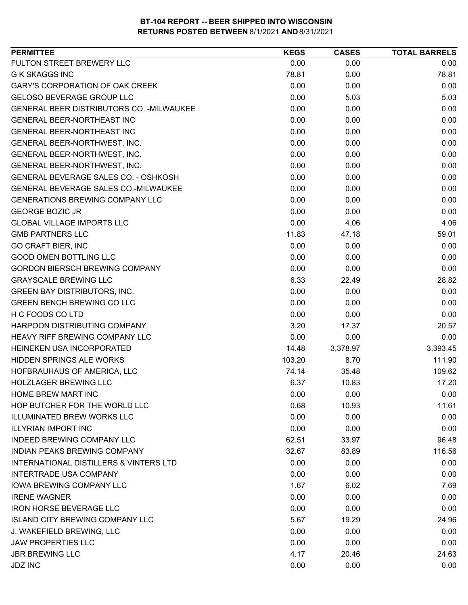| 0.00<br>0.00<br>0.00<br>78.81<br>0.00<br>78.81<br>0.00<br>0.00<br>0.00<br>0.00<br><b>GELOSO BEVERAGE GROUP LLC</b><br>5.03<br>5.03<br>0.00<br>GENERAL BEER DISTRIBUTORS CO. - MILWAUKEE<br>0.00<br>0.00<br><b>GENERAL BEER-NORTHEAST INC</b><br>0.00<br>0.00<br>0.00<br>0.00<br>GENERAL BEER-NORTHEAST INC<br>0.00<br>0.00<br>0.00<br>0.00<br>0.00<br>GENERAL BEER-NORTHWEST, INC.<br>0.00<br>0.00<br>0.00<br>GENERAL BEER-NORTHWEST, INC.<br>0.00<br>0.00<br>0.00<br>0.00<br>0.00<br>0.00<br>0.00<br>0.00<br>0.00<br>0.00<br>0.00<br>0.00<br>0.00<br>0.00<br>0.00<br>0.00<br>4.06<br>4.06<br><b>GMB PARTNERS LLC</b><br>11.83<br>47.18<br>59.01<br>0.00<br>0.00<br>0.00<br><b>GOOD OMEN BOTTLING LLC</b><br>0.00<br>0.00<br>0.00<br><b>GORDON BIERSCH BREWING COMPANY</b><br>0.00<br>0.00<br>0.00<br><b>GRAYSCALE BREWING LLC</b><br>6.33<br>22.49<br>28.82<br>0.00<br>0.00<br>0.00<br>0.00<br>0.00<br>0.00<br>0.00<br>0.00<br>0.00<br>3.20<br>20.57<br>17.37<br>0.00<br>0.00<br>0.00<br>3,393.45<br>14.48<br>3,378.97<br>103.20<br>111.90<br>8.70<br>74.14<br>35.48<br>109.62<br><b>HOLZLAGER BREWING LLC</b><br>6.37<br>17.20<br>10.83<br>0.00<br>0.00<br>0.00<br>0.68<br>11.61<br>10.93<br>0.00<br>0.00<br>0.00<br>0.00<br>0.00<br>0.00<br>62.51<br>33.97<br>96.48<br>116.56<br>32.67<br>83.89<br>0.00<br>0.00<br>0.00<br><b>INTERTRADE USA COMPANY</b><br>0.00<br>0.00<br>0.00<br><b>IOWA BREWING COMPANY LLC</b><br>1.67<br>6.02<br>7.69<br>0.00<br>0.00<br>0.00<br>0.00<br>0.00<br>0.00<br>5.67<br>19.29<br>24.96<br>J. WAKEFIELD BREWING, LLC<br>0.00<br>0.00<br>0.00<br>0.00<br>0.00<br>0.00 | <b>PERMITTEE</b>                       | <b>KEGS</b> | <b>CASES</b> | <b>TOTAL BARRELS</b> |
|-------------------------------------------------------------------------------------------------------------------------------------------------------------------------------------------------------------------------------------------------------------------------------------------------------------------------------------------------------------------------------------------------------------------------------------------------------------------------------------------------------------------------------------------------------------------------------------------------------------------------------------------------------------------------------------------------------------------------------------------------------------------------------------------------------------------------------------------------------------------------------------------------------------------------------------------------------------------------------------------------------------------------------------------------------------------------------------------------------------------------------------------------------------------------------------------------------------------------------------------------------------------------------------------------------------------------------------------------------------------------------------------------------------------------------------------------------------------------------------------------------------------------------------------------------------------------------------------------------|----------------------------------------|-------------|--------------|----------------------|
|                                                                                                                                                                                                                                                                                                                                                                                                                                                                                                                                                                                                                                                                                                                                                                                                                                                                                                                                                                                                                                                                                                                                                                                                                                                                                                                                                                                                                                                                                                                                                                                                       | FULTON STREET BREWERY LLC              |             |              |                      |
|                                                                                                                                                                                                                                                                                                                                                                                                                                                                                                                                                                                                                                                                                                                                                                                                                                                                                                                                                                                                                                                                                                                                                                                                                                                                                                                                                                                                                                                                                                                                                                                                       | <b>G K SKAGGS INC</b>                  |             |              |                      |
|                                                                                                                                                                                                                                                                                                                                                                                                                                                                                                                                                                                                                                                                                                                                                                                                                                                                                                                                                                                                                                                                                                                                                                                                                                                                                                                                                                                                                                                                                                                                                                                                       | <b>GARY'S CORPORATION OF OAK CREEK</b> |             |              |                      |
|                                                                                                                                                                                                                                                                                                                                                                                                                                                                                                                                                                                                                                                                                                                                                                                                                                                                                                                                                                                                                                                                                                                                                                                                                                                                                                                                                                                                                                                                                                                                                                                                       |                                        |             |              |                      |
|                                                                                                                                                                                                                                                                                                                                                                                                                                                                                                                                                                                                                                                                                                                                                                                                                                                                                                                                                                                                                                                                                                                                                                                                                                                                                                                                                                                                                                                                                                                                                                                                       |                                        |             |              |                      |
|                                                                                                                                                                                                                                                                                                                                                                                                                                                                                                                                                                                                                                                                                                                                                                                                                                                                                                                                                                                                                                                                                                                                                                                                                                                                                                                                                                                                                                                                                                                                                                                                       |                                        |             |              |                      |
|                                                                                                                                                                                                                                                                                                                                                                                                                                                                                                                                                                                                                                                                                                                                                                                                                                                                                                                                                                                                                                                                                                                                                                                                                                                                                                                                                                                                                                                                                                                                                                                                       |                                        |             |              |                      |
|                                                                                                                                                                                                                                                                                                                                                                                                                                                                                                                                                                                                                                                                                                                                                                                                                                                                                                                                                                                                                                                                                                                                                                                                                                                                                                                                                                                                                                                                                                                                                                                                       |                                        |             |              |                      |
|                                                                                                                                                                                                                                                                                                                                                                                                                                                                                                                                                                                                                                                                                                                                                                                                                                                                                                                                                                                                                                                                                                                                                                                                                                                                                                                                                                                                                                                                                                                                                                                                       | GENERAL BEER-NORTHWEST, INC.           |             |              |                      |
|                                                                                                                                                                                                                                                                                                                                                                                                                                                                                                                                                                                                                                                                                                                                                                                                                                                                                                                                                                                                                                                                                                                                                                                                                                                                                                                                                                                                                                                                                                                                                                                                       |                                        |             |              |                      |
|                                                                                                                                                                                                                                                                                                                                                                                                                                                                                                                                                                                                                                                                                                                                                                                                                                                                                                                                                                                                                                                                                                                                                                                                                                                                                                                                                                                                                                                                                                                                                                                                       | GENERAL BEVERAGE SALES CO. - OSHKOSH   |             |              |                      |
|                                                                                                                                                                                                                                                                                                                                                                                                                                                                                                                                                                                                                                                                                                                                                                                                                                                                                                                                                                                                                                                                                                                                                                                                                                                                                                                                                                                                                                                                                                                                                                                                       | GENERAL BEVERAGE SALES CO.-MILWAUKEE   |             |              |                      |
|                                                                                                                                                                                                                                                                                                                                                                                                                                                                                                                                                                                                                                                                                                                                                                                                                                                                                                                                                                                                                                                                                                                                                                                                                                                                                                                                                                                                                                                                                                                                                                                                       | <b>GENERATIONS BREWING COMPANY LLC</b> |             |              |                      |
|                                                                                                                                                                                                                                                                                                                                                                                                                                                                                                                                                                                                                                                                                                                                                                                                                                                                                                                                                                                                                                                                                                                                                                                                                                                                                                                                                                                                                                                                                                                                                                                                       | <b>GEORGE BOZIC JR</b>                 |             |              |                      |
|                                                                                                                                                                                                                                                                                                                                                                                                                                                                                                                                                                                                                                                                                                                                                                                                                                                                                                                                                                                                                                                                                                                                                                                                                                                                                                                                                                                                                                                                                                                                                                                                       | <b>GLOBAL VILLAGE IMPORTS LLC</b>      |             |              |                      |
|                                                                                                                                                                                                                                                                                                                                                                                                                                                                                                                                                                                                                                                                                                                                                                                                                                                                                                                                                                                                                                                                                                                                                                                                                                                                                                                                                                                                                                                                                                                                                                                                       |                                        |             |              |                      |
|                                                                                                                                                                                                                                                                                                                                                                                                                                                                                                                                                                                                                                                                                                                                                                                                                                                                                                                                                                                                                                                                                                                                                                                                                                                                                                                                                                                                                                                                                                                                                                                                       | <b>GO CRAFT BIER, INC</b>              |             |              |                      |
|                                                                                                                                                                                                                                                                                                                                                                                                                                                                                                                                                                                                                                                                                                                                                                                                                                                                                                                                                                                                                                                                                                                                                                                                                                                                                                                                                                                                                                                                                                                                                                                                       |                                        |             |              |                      |
|                                                                                                                                                                                                                                                                                                                                                                                                                                                                                                                                                                                                                                                                                                                                                                                                                                                                                                                                                                                                                                                                                                                                                                                                                                                                                                                                                                                                                                                                                                                                                                                                       |                                        |             |              |                      |
|                                                                                                                                                                                                                                                                                                                                                                                                                                                                                                                                                                                                                                                                                                                                                                                                                                                                                                                                                                                                                                                                                                                                                                                                                                                                                                                                                                                                                                                                                                                                                                                                       |                                        |             |              |                      |
|                                                                                                                                                                                                                                                                                                                                                                                                                                                                                                                                                                                                                                                                                                                                                                                                                                                                                                                                                                                                                                                                                                                                                                                                                                                                                                                                                                                                                                                                                                                                                                                                       | <b>GREEN BAY DISTRIBUTORS, INC.</b>    |             |              |                      |
|                                                                                                                                                                                                                                                                                                                                                                                                                                                                                                                                                                                                                                                                                                                                                                                                                                                                                                                                                                                                                                                                                                                                                                                                                                                                                                                                                                                                                                                                                                                                                                                                       | <b>GREEN BENCH BREWING CO LLC</b>      |             |              |                      |
|                                                                                                                                                                                                                                                                                                                                                                                                                                                                                                                                                                                                                                                                                                                                                                                                                                                                                                                                                                                                                                                                                                                                                                                                                                                                                                                                                                                                                                                                                                                                                                                                       | H C FOODS CO LTD                       |             |              |                      |
|                                                                                                                                                                                                                                                                                                                                                                                                                                                                                                                                                                                                                                                                                                                                                                                                                                                                                                                                                                                                                                                                                                                                                                                                                                                                                                                                                                                                                                                                                                                                                                                                       | HARPOON DISTRIBUTING COMPANY           |             |              |                      |
|                                                                                                                                                                                                                                                                                                                                                                                                                                                                                                                                                                                                                                                                                                                                                                                                                                                                                                                                                                                                                                                                                                                                                                                                                                                                                                                                                                                                                                                                                                                                                                                                       | HEAVY RIFF BREWING COMPANY LLC         |             |              |                      |
|                                                                                                                                                                                                                                                                                                                                                                                                                                                                                                                                                                                                                                                                                                                                                                                                                                                                                                                                                                                                                                                                                                                                                                                                                                                                                                                                                                                                                                                                                                                                                                                                       | HEINEKEN USA INCORPORATED              |             |              |                      |
|                                                                                                                                                                                                                                                                                                                                                                                                                                                                                                                                                                                                                                                                                                                                                                                                                                                                                                                                                                                                                                                                                                                                                                                                                                                                                                                                                                                                                                                                                                                                                                                                       | <b>HIDDEN SPRINGS ALE WORKS</b>        |             |              |                      |
|                                                                                                                                                                                                                                                                                                                                                                                                                                                                                                                                                                                                                                                                                                                                                                                                                                                                                                                                                                                                                                                                                                                                                                                                                                                                                                                                                                                                                                                                                                                                                                                                       | HOFBRAUHAUS OF AMERICA, LLC            |             |              |                      |
|                                                                                                                                                                                                                                                                                                                                                                                                                                                                                                                                                                                                                                                                                                                                                                                                                                                                                                                                                                                                                                                                                                                                                                                                                                                                                                                                                                                                                                                                                                                                                                                                       |                                        |             |              |                      |
|                                                                                                                                                                                                                                                                                                                                                                                                                                                                                                                                                                                                                                                                                                                                                                                                                                                                                                                                                                                                                                                                                                                                                                                                                                                                                                                                                                                                                                                                                                                                                                                                       | <b>HOME BREW MART INC</b>              |             |              |                      |
|                                                                                                                                                                                                                                                                                                                                                                                                                                                                                                                                                                                                                                                                                                                                                                                                                                                                                                                                                                                                                                                                                                                                                                                                                                                                                                                                                                                                                                                                                                                                                                                                       | HOP BUTCHER FOR THE WORLD LLC          |             |              |                      |
|                                                                                                                                                                                                                                                                                                                                                                                                                                                                                                                                                                                                                                                                                                                                                                                                                                                                                                                                                                                                                                                                                                                                                                                                                                                                                                                                                                                                                                                                                                                                                                                                       | <b>ILLUMINATED BREW WORKS LLC</b>      |             |              |                      |
|                                                                                                                                                                                                                                                                                                                                                                                                                                                                                                                                                                                                                                                                                                                                                                                                                                                                                                                                                                                                                                                                                                                                                                                                                                                                                                                                                                                                                                                                                                                                                                                                       | <b>ILLYRIAN IMPORT INC</b>             |             |              |                      |
|                                                                                                                                                                                                                                                                                                                                                                                                                                                                                                                                                                                                                                                                                                                                                                                                                                                                                                                                                                                                                                                                                                                                                                                                                                                                                                                                                                                                                                                                                                                                                                                                       | <b>INDEED BREWING COMPANY LLC</b>      |             |              |                      |
|                                                                                                                                                                                                                                                                                                                                                                                                                                                                                                                                                                                                                                                                                                                                                                                                                                                                                                                                                                                                                                                                                                                                                                                                                                                                                                                                                                                                                                                                                                                                                                                                       | INDIAN PEAKS BREWING COMPANY           |             |              |                      |
|                                                                                                                                                                                                                                                                                                                                                                                                                                                                                                                                                                                                                                                                                                                                                                                                                                                                                                                                                                                                                                                                                                                                                                                                                                                                                                                                                                                                                                                                                                                                                                                                       | INTERNATIONAL DISTILLERS & VINTERS LTD |             |              |                      |
|                                                                                                                                                                                                                                                                                                                                                                                                                                                                                                                                                                                                                                                                                                                                                                                                                                                                                                                                                                                                                                                                                                                                                                                                                                                                                                                                                                                                                                                                                                                                                                                                       |                                        |             |              |                      |
|                                                                                                                                                                                                                                                                                                                                                                                                                                                                                                                                                                                                                                                                                                                                                                                                                                                                                                                                                                                                                                                                                                                                                                                                                                                                                                                                                                                                                                                                                                                                                                                                       |                                        |             |              |                      |
|                                                                                                                                                                                                                                                                                                                                                                                                                                                                                                                                                                                                                                                                                                                                                                                                                                                                                                                                                                                                                                                                                                                                                                                                                                                                                                                                                                                                                                                                                                                                                                                                       | <b>IRENE WAGNER</b>                    |             |              |                      |
|                                                                                                                                                                                                                                                                                                                                                                                                                                                                                                                                                                                                                                                                                                                                                                                                                                                                                                                                                                                                                                                                                                                                                                                                                                                                                                                                                                                                                                                                                                                                                                                                       | <b>IRON HORSE BEVERAGE LLC</b>         |             |              |                      |
|                                                                                                                                                                                                                                                                                                                                                                                                                                                                                                                                                                                                                                                                                                                                                                                                                                                                                                                                                                                                                                                                                                                                                                                                                                                                                                                                                                                                                                                                                                                                                                                                       | <b>ISLAND CITY BREWING COMPANY LLC</b> |             |              |                      |
|                                                                                                                                                                                                                                                                                                                                                                                                                                                                                                                                                                                                                                                                                                                                                                                                                                                                                                                                                                                                                                                                                                                                                                                                                                                                                                                                                                                                                                                                                                                                                                                                       |                                        |             |              |                      |
|                                                                                                                                                                                                                                                                                                                                                                                                                                                                                                                                                                                                                                                                                                                                                                                                                                                                                                                                                                                                                                                                                                                                                                                                                                                                                                                                                                                                                                                                                                                                                                                                       | <b>JAW PROPERTIES LLC</b>              |             |              |                      |
|                                                                                                                                                                                                                                                                                                                                                                                                                                                                                                                                                                                                                                                                                                                                                                                                                                                                                                                                                                                                                                                                                                                                                                                                                                                                                                                                                                                                                                                                                                                                                                                                       | <b>JBR BREWING LLC</b>                 | 4.17        | 20.46        | 24.63                |
| <b>JDZ INC</b><br>0.00<br>0.00<br>0.00                                                                                                                                                                                                                                                                                                                                                                                                                                                                                                                                                                                                                                                                                                                                                                                                                                                                                                                                                                                                                                                                                                                                                                                                                                                                                                                                                                                                                                                                                                                                                                |                                        |             |              |                      |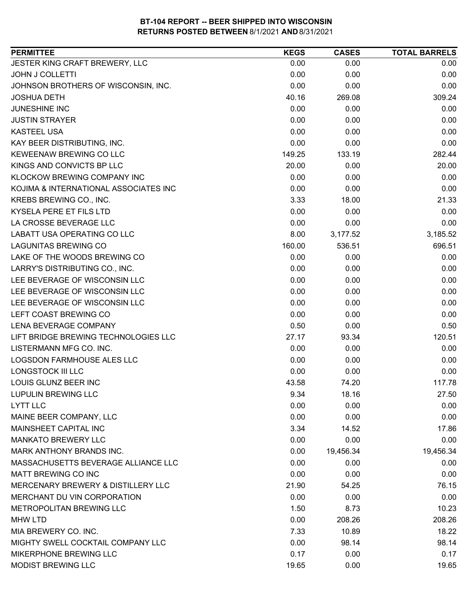| <b>PERMITTEE</b>                      | <b>KEGS</b> | <b>CASES</b> | <b>TOTAL BARRELS</b> |
|---------------------------------------|-------------|--------------|----------------------|
| JESTER KING CRAFT BREWERY, LLC        | 0.00        | 0.00         | 0.00                 |
| <b>JOHN J COLLETTI</b>                | 0.00        | 0.00         | 0.00                 |
| JOHNSON BROTHERS OF WISCONSIN, INC.   | 0.00        | 0.00         | 0.00                 |
| <b>JOSHUA DETH</b>                    | 40.16       | 269.08       | 309.24               |
| <b>JUNESHINE INC</b>                  | 0.00        | 0.00         | 0.00                 |
| <b>JUSTIN STRAYER</b>                 | 0.00        | 0.00         | 0.00                 |
| <b>KASTEEL USA</b>                    | 0.00        | 0.00         | 0.00                 |
| KAY BEER DISTRIBUTING, INC.           | 0.00        | 0.00         | 0.00                 |
| KEWEENAW BREWING CO LLC               | 149.25      | 133.19       | 282.44               |
| KINGS AND CONVICTS BP LLC             | 20.00       | 0.00         | 20.00                |
| <b>KLOCKOW BREWING COMPANY INC</b>    | 0.00        | 0.00         | 0.00                 |
| KOJIMA & INTERNATIONAL ASSOCIATES INC | 0.00        | 0.00         | 0.00                 |
| KREBS BREWING CO., INC.               | 3.33        | 18.00        | 21.33                |
| KYSELA PERE ET FILS LTD               | 0.00        | 0.00         | 0.00                 |
| LA CROSSE BEVERAGE LLC                | 0.00        | 0.00         | 0.00                 |
| LABATT USA OPERATING CO LLC           | 8.00        | 3,177.52     | 3,185.52             |
| <b>LAGUNITAS BREWING CO</b>           | 160.00      | 536.51       | 696.51               |
| LAKE OF THE WOODS BREWING CO          | 0.00        | 0.00         | 0.00                 |
| LARRY'S DISTRIBUTING CO., INC.        | 0.00        | 0.00         | 0.00                 |
| LEE BEVERAGE OF WISCONSIN LLC         | 0.00        | 0.00         | 0.00                 |
| LEE BEVERAGE OF WISCONSIN LLC         | 0.00        | 0.00         | 0.00                 |
| LEE BEVERAGE OF WISCONSIN LLC         | 0.00        | 0.00         | 0.00                 |
| LEFT COAST BREWING CO                 | 0.00        | 0.00         | 0.00                 |
| LENA BEVERAGE COMPANY                 | 0.50        | 0.00         | 0.50                 |
| LIFT BRIDGE BREWING TECHNOLOGIES LLC  | 27.17       | 93.34        | 120.51               |
| LISTERMANN MFG CO. INC.               | 0.00        | 0.00         | 0.00                 |
| <b>LOGSDON FARMHOUSE ALES LLC</b>     | 0.00        | 0.00         | 0.00                 |
| <b>LONGSTOCK III LLC</b>              | 0.00        | 0.00         | 0.00                 |
| LOUIS GLUNZ BEER INC                  | 43.58       | 74.20        | 117.78               |
| <b>LUPULIN BREWING LLC</b>            | 9.34        | 18.16        | 27.50                |
| <b>LYTT LLC</b>                       | 0.00        | 0.00         | 0.00                 |
| MAINE BEER COMPANY, LLC               | 0.00        | 0.00         | 0.00                 |
| MAINSHEET CAPITAL INC                 | 3.34        | 14.52        | 17.86                |
| <b>MANKATO BREWERY LLC</b>            | 0.00        | 0.00         | 0.00                 |
| MARK ANTHONY BRANDS INC.              | 0.00        | 19,456.34    | 19,456.34            |
| MASSACHUSETTS BEVERAGE ALLIANCE LLC   | 0.00        | 0.00         | 0.00                 |
| <b>MATT BREWING CO INC</b>            | 0.00        | 0.00         | 0.00                 |
| MERCENARY BREWERY & DISTILLERY LLC    | 21.90       | 54.25        | 76.15                |
| MERCHANT DU VIN CORPORATION           | 0.00        | 0.00         | 0.00                 |
| METROPOLITAN BREWING LLC              | 1.50        | 8.73         | 10.23                |
| <b>MHW LTD</b>                        | 0.00        | 208.26       | 208.26               |
| MIA BREWERY CO. INC.                  | 7.33        | 10.89        | 18.22                |
| MIGHTY SWELL COCKTAIL COMPANY LLC     | 0.00        | 98.14        | 98.14                |
| MIKERPHONE BREWING LLC                | 0.17        | 0.00         | 0.17                 |
| <b>MODIST BREWING LLC</b>             | 19.65       | 0.00         | 19.65                |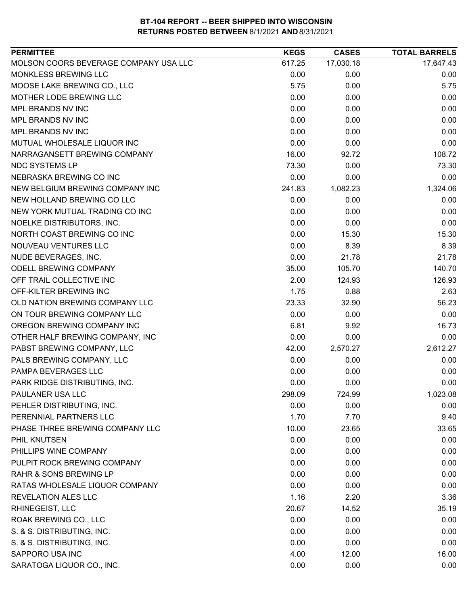| MOLSON COORS BEVERAGE COMPANY USA LLC<br>17,030.18<br>17,647.43<br>617.25<br>MONKLESS BREWING LLC<br>0.00<br>0.00<br>0.00<br>MOOSE LAKE BREWING CO., LLC<br>5.75<br>5.75<br>0.00<br>MOTHER LODE BREWING LLC<br>0.00<br>0.00<br>0.00<br>MPL BRANDS NV INC<br>0.00<br>0.00<br>0.00<br>MPL BRANDS NV INC<br>0.00<br>0.00<br>0.00<br>MPL BRANDS NV INC<br>0.00<br>0.00<br>0.00<br>0.00<br>0.00<br>0.00<br>MUTUAL WHOLESALE LIQUOR INC<br>NARRAGANSETT BREWING COMPANY<br>16.00<br>108.72<br>92.72<br><b>NDC SYSTEMS LP</b><br>73.30<br>73.30<br>0.00<br>NEBRASKA BREWING CO INC<br>0.00<br>0.00<br>0.00<br>NEW BELGIUM BREWING COMPANY INC<br>241.83<br>1,082.23<br>1,324.06<br>NEW HOLLAND BREWING CO LLC<br>0.00<br>0.00<br>0.00<br>NEW YORK MUTUAL TRADING CO INC<br>0.00<br>0.00<br>0.00<br>NOELKE DISTRIBUTORS, INC.<br>0.00<br>0.00<br>0.00<br>NORTH COAST BREWING CO INC<br>0.00<br>15.30<br>15.30<br>0.00<br>8.39<br>NOUVEAU VENTURES LLC<br>8.39<br>NUDE BEVERAGES, INC.<br>0.00<br>21.78<br>21.78<br>140.70<br>ODELL BREWING COMPANY<br>35.00<br>105.70<br>126.93<br>OFF TRAIL COLLECTIVE INC<br>2.00<br>124.93<br>2.63<br>OFF-KILTER BREWING INC<br>1.75<br>0.88<br>OLD NATION BREWING COMPANY LLC<br>23.33<br>32.90<br>56.23<br>ON TOUR BREWING COMPANY LLC<br>0.00<br>0.00<br>0.00<br>OREGON BREWING COMPANY INC<br>6.81<br>16.73<br>9.92<br>0.00<br>0.00<br>0.00<br>OTHER HALF BREWING COMPANY, INC<br>PABST BREWING COMPANY, LLC<br>2,612.27<br>42.00<br>2,570.27<br>PALS BREWING COMPANY, LLC<br>0.00<br>0.00<br>0.00<br>PAMPA BEVERAGES LLC<br>0.00<br>0.00<br>0.00<br>0.00<br>PARK RIDGE DISTRIBUTING, INC.<br>0.00<br>0.00<br>PAULANER USA LLC<br>298.09<br>724.99<br>1,023.08<br>PEHLER DISTRIBUTING, INC.<br>0.00<br>0.00<br>0.00<br>PERENNIAL PARTNERS LLC<br>9.40<br>1.70<br>7.70<br>PHASE THREE BREWING COMPANY LLC<br>10.00<br>33.65<br>23.65<br>PHIL KNUTSEN<br>0.00<br>0.00<br>0.00<br>PHILLIPS WINE COMPANY<br>0.00<br>0.00<br>0.00<br>PULPIT ROCK BREWING COMPANY<br>0.00<br>0.00<br>0.00<br><b>RAHR &amp; SONS BREWING LP</b><br>0.00<br>0.00<br>0.00<br>RATAS WHOLESALE LIQUOR COMPANY<br>0.00<br>0.00<br>0.00<br><b>REVELATION ALES LLC</b><br>1.16<br>3.36<br>2.20<br>RHINEGEIST, LLC<br>20.67<br>14.52<br>35.19<br>ROAK BREWING CO., LLC<br>0.00<br>0.00<br>0.00<br>S. & S. DISTRIBUTING, INC.<br>0.00<br>0.00<br>0.00<br>S. & S. DISTRIBUTING, INC.<br>0.00<br>0.00<br>0.00<br>SAPPORO USA INC<br>4.00<br>12.00<br>16.00<br>0.00 | <b>PERMITTEE</b>          | <b>KEGS</b> | <b>CASES</b> | <b>TOTAL BARRELS</b> |
|-----------------------------------------------------------------------------------------------------------------------------------------------------------------------------------------------------------------------------------------------------------------------------------------------------------------------------------------------------------------------------------------------------------------------------------------------------------------------------------------------------------------------------------------------------------------------------------------------------------------------------------------------------------------------------------------------------------------------------------------------------------------------------------------------------------------------------------------------------------------------------------------------------------------------------------------------------------------------------------------------------------------------------------------------------------------------------------------------------------------------------------------------------------------------------------------------------------------------------------------------------------------------------------------------------------------------------------------------------------------------------------------------------------------------------------------------------------------------------------------------------------------------------------------------------------------------------------------------------------------------------------------------------------------------------------------------------------------------------------------------------------------------------------------------------------------------------------------------------------------------------------------------------------------------------------------------------------------------------------------------------------------------------------------------------------------------------------------------------------------------------------------------------------------------------------------------------------------------------------------------------------------------------------------------------------------------------------------------------------------------------------------------------------------------------------------------------------------|---------------------------|-------------|--------------|----------------------|
|                                                                                                                                                                                                                                                                                                                                                                                                                                                                                                                                                                                                                                                                                                                                                                                                                                                                                                                                                                                                                                                                                                                                                                                                                                                                                                                                                                                                                                                                                                                                                                                                                                                                                                                                                                                                                                                                                                                                                                                                                                                                                                                                                                                                                                                                                                                                                                                                                                                                 |                           |             |              |                      |
|                                                                                                                                                                                                                                                                                                                                                                                                                                                                                                                                                                                                                                                                                                                                                                                                                                                                                                                                                                                                                                                                                                                                                                                                                                                                                                                                                                                                                                                                                                                                                                                                                                                                                                                                                                                                                                                                                                                                                                                                                                                                                                                                                                                                                                                                                                                                                                                                                                                                 |                           |             |              |                      |
|                                                                                                                                                                                                                                                                                                                                                                                                                                                                                                                                                                                                                                                                                                                                                                                                                                                                                                                                                                                                                                                                                                                                                                                                                                                                                                                                                                                                                                                                                                                                                                                                                                                                                                                                                                                                                                                                                                                                                                                                                                                                                                                                                                                                                                                                                                                                                                                                                                                                 |                           |             |              |                      |
|                                                                                                                                                                                                                                                                                                                                                                                                                                                                                                                                                                                                                                                                                                                                                                                                                                                                                                                                                                                                                                                                                                                                                                                                                                                                                                                                                                                                                                                                                                                                                                                                                                                                                                                                                                                                                                                                                                                                                                                                                                                                                                                                                                                                                                                                                                                                                                                                                                                                 |                           |             |              |                      |
|                                                                                                                                                                                                                                                                                                                                                                                                                                                                                                                                                                                                                                                                                                                                                                                                                                                                                                                                                                                                                                                                                                                                                                                                                                                                                                                                                                                                                                                                                                                                                                                                                                                                                                                                                                                                                                                                                                                                                                                                                                                                                                                                                                                                                                                                                                                                                                                                                                                                 |                           |             |              |                      |
|                                                                                                                                                                                                                                                                                                                                                                                                                                                                                                                                                                                                                                                                                                                                                                                                                                                                                                                                                                                                                                                                                                                                                                                                                                                                                                                                                                                                                                                                                                                                                                                                                                                                                                                                                                                                                                                                                                                                                                                                                                                                                                                                                                                                                                                                                                                                                                                                                                                                 |                           |             |              |                      |
|                                                                                                                                                                                                                                                                                                                                                                                                                                                                                                                                                                                                                                                                                                                                                                                                                                                                                                                                                                                                                                                                                                                                                                                                                                                                                                                                                                                                                                                                                                                                                                                                                                                                                                                                                                                                                                                                                                                                                                                                                                                                                                                                                                                                                                                                                                                                                                                                                                                                 |                           |             |              |                      |
|                                                                                                                                                                                                                                                                                                                                                                                                                                                                                                                                                                                                                                                                                                                                                                                                                                                                                                                                                                                                                                                                                                                                                                                                                                                                                                                                                                                                                                                                                                                                                                                                                                                                                                                                                                                                                                                                                                                                                                                                                                                                                                                                                                                                                                                                                                                                                                                                                                                                 |                           |             |              |                      |
|                                                                                                                                                                                                                                                                                                                                                                                                                                                                                                                                                                                                                                                                                                                                                                                                                                                                                                                                                                                                                                                                                                                                                                                                                                                                                                                                                                                                                                                                                                                                                                                                                                                                                                                                                                                                                                                                                                                                                                                                                                                                                                                                                                                                                                                                                                                                                                                                                                                                 |                           |             |              |                      |
|                                                                                                                                                                                                                                                                                                                                                                                                                                                                                                                                                                                                                                                                                                                                                                                                                                                                                                                                                                                                                                                                                                                                                                                                                                                                                                                                                                                                                                                                                                                                                                                                                                                                                                                                                                                                                                                                                                                                                                                                                                                                                                                                                                                                                                                                                                                                                                                                                                                                 |                           |             |              |                      |
|                                                                                                                                                                                                                                                                                                                                                                                                                                                                                                                                                                                                                                                                                                                                                                                                                                                                                                                                                                                                                                                                                                                                                                                                                                                                                                                                                                                                                                                                                                                                                                                                                                                                                                                                                                                                                                                                                                                                                                                                                                                                                                                                                                                                                                                                                                                                                                                                                                                                 |                           |             |              |                      |
|                                                                                                                                                                                                                                                                                                                                                                                                                                                                                                                                                                                                                                                                                                                                                                                                                                                                                                                                                                                                                                                                                                                                                                                                                                                                                                                                                                                                                                                                                                                                                                                                                                                                                                                                                                                                                                                                                                                                                                                                                                                                                                                                                                                                                                                                                                                                                                                                                                                                 |                           |             |              |                      |
|                                                                                                                                                                                                                                                                                                                                                                                                                                                                                                                                                                                                                                                                                                                                                                                                                                                                                                                                                                                                                                                                                                                                                                                                                                                                                                                                                                                                                                                                                                                                                                                                                                                                                                                                                                                                                                                                                                                                                                                                                                                                                                                                                                                                                                                                                                                                                                                                                                                                 |                           |             |              |                      |
|                                                                                                                                                                                                                                                                                                                                                                                                                                                                                                                                                                                                                                                                                                                                                                                                                                                                                                                                                                                                                                                                                                                                                                                                                                                                                                                                                                                                                                                                                                                                                                                                                                                                                                                                                                                                                                                                                                                                                                                                                                                                                                                                                                                                                                                                                                                                                                                                                                                                 |                           |             |              |                      |
|                                                                                                                                                                                                                                                                                                                                                                                                                                                                                                                                                                                                                                                                                                                                                                                                                                                                                                                                                                                                                                                                                                                                                                                                                                                                                                                                                                                                                                                                                                                                                                                                                                                                                                                                                                                                                                                                                                                                                                                                                                                                                                                                                                                                                                                                                                                                                                                                                                                                 |                           |             |              |                      |
|                                                                                                                                                                                                                                                                                                                                                                                                                                                                                                                                                                                                                                                                                                                                                                                                                                                                                                                                                                                                                                                                                                                                                                                                                                                                                                                                                                                                                                                                                                                                                                                                                                                                                                                                                                                                                                                                                                                                                                                                                                                                                                                                                                                                                                                                                                                                                                                                                                                                 |                           |             |              |                      |
|                                                                                                                                                                                                                                                                                                                                                                                                                                                                                                                                                                                                                                                                                                                                                                                                                                                                                                                                                                                                                                                                                                                                                                                                                                                                                                                                                                                                                                                                                                                                                                                                                                                                                                                                                                                                                                                                                                                                                                                                                                                                                                                                                                                                                                                                                                                                                                                                                                                                 |                           |             |              |                      |
|                                                                                                                                                                                                                                                                                                                                                                                                                                                                                                                                                                                                                                                                                                                                                                                                                                                                                                                                                                                                                                                                                                                                                                                                                                                                                                                                                                                                                                                                                                                                                                                                                                                                                                                                                                                                                                                                                                                                                                                                                                                                                                                                                                                                                                                                                                                                                                                                                                                                 |                           |             |              |                      |
|                                                                                                                                                                                                                                                                                                                                                                                                                                                                                                                                                                                                                                                                                                                                                                                                                                                                                                                                                                                                                                                                                                                                                                                                                                                                                                                                                                                                                                                                                                                                                                                                                                                                                                                                                                                                                                                                                                                                                                                                                                                                                                                                                                                                                                                                                                                                                                                                                                                                 |                           |             |              |                      |
|                                                                                                                                                                                                                                                                                                                                                                                                                                                                                                                                                                                                                                                                                                                                                                                                                                                                                                                                                                                                                                                                                                                                                                                                                                                                                                                                                                                                                                                                                                                                                                                                                                                                                                                                                                                                                                                                                                                                                                                                                                                                                                                                                                                                                                                                                                                                                                                                                                                                 |                           |             |              |                      |
|                                                                                                                                                                                                                                                                                                                                                                                                                                                                                                                                                                                                                                                                                                                                                                                                                                                                                                                                                                                                                                                                                                                                                                                                                                                                                                                                                                                                                                                                                                                                                                                                                                                                                                                                                                                                                                                                                                                                                                                                                                                                                                                                                                                                                                                                                                                                                                                                                                                                 |                           |             |              |                      |
|                                                                                                                                                                                                                                                                                                                                                                                                                                                                                                                                                                                                                                                                                                                                                                                                                                                                                                                                                                                                                                                                                                                                                                                                                                                                                                                                                                                                                                                                                                                                                                                                                                                                                                                                                                                                                                                                                                                                                                                                                                                                                                                                                                                                                                                                                                                                                                                                                                                                 |                           |             |              |                      |
|                                                                                                                                                                                                                                                                                                                                                                                                                                                                                                                                                                                                                                                                                                                                                                                                                                                                                                                                                                                                                                                                                                                                                                                                                                                                                                                                                                                                                                                                                                                                                                                                                                                                                                                                                                                                                                                                                                                                                                                                                                                                                                                                                                                                                                                                                                                                                                                                                                                                 |                           |             |              |                      |
|                                                                                                                                                                                                                                                                                                                                                                                                                                                                                                                                                                                                                                                                                                                                                                                                                                                                                                                                                                                                                                                                                                                                                                                                                                                                                                                                                                                                                                                                                                                                                                                                                                                                                                                                                                                                                                                                                                                                                                                                                                                                                                                                                                                                                                                                                                                                                                                                                                                                 |                           |             |              |                      |
|                                                                                                                                                                                                                                                                                                                                                                                                                                                                                                                                                                                                                                                                                                                                                                                                                                                                                                                                                                                                                                                                                                                                                                                                                                                                                                                                                                                                                                                                                                                                                                                                                                                                                                                                                                                                                                                                                                                                                                                                                                                                                                                                                                                                                                                                                                                                                                                                                                                                 |                           |             |              |                      |
|                                                                                                                                                                                                                                                                                                                                                                                                                                                                                                                                                                                                                                                                                                                                                                                                                                                                                                                                                                                                                                                                                                                                                                                                                                                                                                                                                                                                                                                                                                                                                                                                                                                                                                                                                                                                                                                                                                                                                                                                                                                                                                                                                                                                                                                                                                                                                                                                                                                                 |                           |             |              |                      |
|                                                                                                                                                                                                                                                                                                                                                                                                                                                                                                                                                                                                                                                                                                                                                                                                                                                                                                                                                                                                                                                                                                                                                                                                                                                                                                                                                                                                                                                                                                                                                                                                                                                                                                                                                                                                                                                                                                                                                                                                                                                                                                                                                                                                                                                                                                                                                                                                                                                                 |                           |             |              |                      |
|                                                                                                                                                                                                                                                                                                                                                                                                                                                                                                                                                                                                                                                                                                                                                                                                                                                                                                                                                                                                                                                                                                                                                                                                                                                                                                                                                                                                                                                                                                                                                                                                                                                                                                                                                                                                                                                                                                                                                                                                                                                                                                                                                                                                                                                                                                                                                                                                                                                                 |                           |             |              |                      |
|                                                                                                                                                                                                                                                                                                                                                                                                                                                                                                                                                                                                                                                                                                                                                                                                                                                                                                                                                                                                                                                                                                                                                                                                                                                                                                                                                                                                                                                                                                                                                                                                                                                                                                                                                                                                                                                                                                                                                                                                                                                                                                                                                                                                                                                                                                                                                                                                                                                                 |                           |             |              |                      |
|                                                                                                                                                                                                                                                                                                                                                                                                                                                                                                                                                                                                                                                                                                                                                                                                                                                                                                                                                                                                                                                                                                                                                                                                                                                                                                                                                                                                                                                                                                                                                                                                                                                                                                                                                                                                                                                                                                                                                                                                                                                                                                                                                                                                                                                                                                                                                                                                                                                                 |                           |             |              |                      |
|                                                                                                                                                                                                                                                                                                                                                                                                                                                                                                                                                                                                                                                                                                                                                                                                                                                                                                                                                                                                                                                                                                                                                                                                                                                                                                                                                                                                                                                                                                                                                                                                                                                                                                                                                                                                                                                                                                                                                                                                                                                                                                                                                                                                                                                                                                                                                                                                                                                                 |                           |             |              |                      |
|                                                                                                                                                                                                                                                                                                                                                                                                                                                                                                                                                                                                                                                                                                                                                                                                                                                                                                                                                                                                                                                                                                                                                                                                                                                                                                                                                                                                                                                                                                                                                                                                                                                                                                                                                                                                                                                                                                                                                                                                                                                                                                                                                                                                                                                                                                                                                                                                                                                                 |                           |             |              |                      |
|                                                                                                                                                                                                                                                                                                                                                                                                                                                                                                                                                                                                                                                                                                                                                                                                                                                                                                                                                                                                                                                                                                                                                                                                                                                                                                                                                                                                                                                                                                                                                                                                                                                                                                                                                                                                                                                                                                                                                                                                                                                                                                                                                                                                                                                                                                                                                                                                                                                                 |                           |             |              |                      |
|                                                                                                                                                                                                                                                                                                                                                                                                                                                                                                                                                                                                                                                                                                                                                                                                                                                                                                                                                                                                                                                                                                                                                                                                                                                                                                                                                                                                                                                                                                                                                                                                                                                                                                                                                                                                                                                                                                                                                                                                                                                                                                                                                                                                                                                                                                                                                                                                                                                                 |                           |             |              |                      |
|                                                                                                                                                                                                                                                                                                                                                                                                                                                                                                                                                                                                                                                                                                                                                                                                                                                                                                                                                                                                                                                                                                                                                                                                                                                                                                                                                                                                                                                                                                                                                                                                                                                                                                                                                                                                                                                                                                                                                                                                                                                                                                                                                                                                                                                                                                                                                                                                                                                                 |                           |             |              |                      |
|                                                                                                                                                                                                                                                                                                                                                                                                                                                                                                                                                                                                                                                                                                                                                                                                                                                                                                                                                                                                                                                                                                                                                                                                                                                                                                                                                                                                                                                                                                                                                                                                                                                                                                                                                                                                                                                                                                                                                                                                                                                                                                                                                                                                                                                                                                                                                                                                                                                                 |                           |             |              |                      |
|                                                                                                                                                                                                                                                                                                                                                                                                                                                                                                                                                                                                                                                                                                                                                                                                                                                                                                                                                                                                                                                                                                                                                                                                                                                                                                                                                                                                                                                                                                                                                                                                                                                                                                                                                                                                                                                                                                                                                                                                                                                                                                                                                                                                                                                                                                                                                                                                                                                                 |                           |             |              |                      |
|                                                                                                                                                                                                                                                                                                                                                                                                                                                                                                                                                                                                                                                                                                                                                                                                                                                                                                                                                                                                                                                                                                                                                                                                                                                                                                                                                                                                                                                                                                                                                                                                                                                                                                                                                                                                                                                                                                                                                                                                                                                                                                                                                                                                                                                                                                                                                                                                                                                                 |                           |             |              |                      |
|                                                                                                                                                                                                                                                                                                                                                                                                                                                                                                                                                                                                                                                                                                                                                                                                                                                                                                                                                                                                                                                                                                                                                                                                                                                                                                                                                                                                                                                                                                                                                                                                                                                                                                                                                                                                                                                                                                                                                                                                                                                                                                                                                                                                                                                                                                                                                                                                                                                                 |                           |             |              |                      |
|                                                                                                                                                                                                                                                                                                                                                                                                                                                                                                                                                                                                                                                                                                                                                                                                                                                                                                                                                                                                                                                                                                                                                                                                                                                                                                                                                                                                                                                                                                                                                                                                                                                                                                                                                                                                                                                                                                                                                                                                                                                                                                                                                                                                                                                                                                                                                                                                                                                                 |                           |             |              |                      |
|                                                                                                                                                                                                                                                                                                                                                                                                                                                                                                                                                                                                                                                                                                                                                                                                                                                                                                                                                                                                                                                                                                                                                                                                                                                                                                                                                                                                                                                                                                                                                                                                                                                                                                                                                                                                                                                                                                                                                                                                                                                                                                                                                                                                                                                                                                                                                                                                                                                                 |                           |             |              |                      |
|                                                                                                                                                                                                                                                                                                                                                                                                                                                                                                                                                                                                                                                                                                                                                                                                                                                                                                                                                                                                                                                                                                                                                                                                                                                                                                                                                                                                                                                                                                                                                                                                                                                                                                                                                                                                                                                                                                                                                                                                                                                                                                                                                                                                                                                                                                                                                                                                                                                                 |                           |             |              |                      |
|                                                                                                                                                                                                                                                                                                                                                                                                                                                                                                                                                                                                                                                                                                                                                                                                                                                                                                                                                                                                                                                                                                                                                                                                                                                                                                                                                                                                                                                                                                                                                                                                                                                                                                                                                                                                                                                                                                                                                                                                                                                                                                                                                                                                                                                                                                                                                                                                                                                                 |                           |             |              |                      |
|                                                                                                                                                                                                                                                                                                                                                                                                                                                                                                                                                                                                                                                                                                                                                                                                                                                                                                                                                                                                                                                                                                                                                                                                                                                                                                                                                                                                                                                                                                                                                                                                                                                                                                                                                                                                                                                                                                                                                                                                                                                                                                                                                                                                                                                                                                                                                                                                                                                                 |                           |             |              |                      |
|                                                                                                                                                                                                                                                                                                                                                                                                                                                                                                                                                                                                                                                                                                                                                                                                                                                                                                                                                                                                                                                                                                                                                                                                                                                                                                                                                                                                                                                                                                                                                                                                                                                                                                                                                                                                                                                                                                                                                                                                                                                                                                                                                                                                                                                                                                                                                                                                                                                                 | SARATOGA LIQUOR CO., INC. |             | 0.00         | 0.00                 |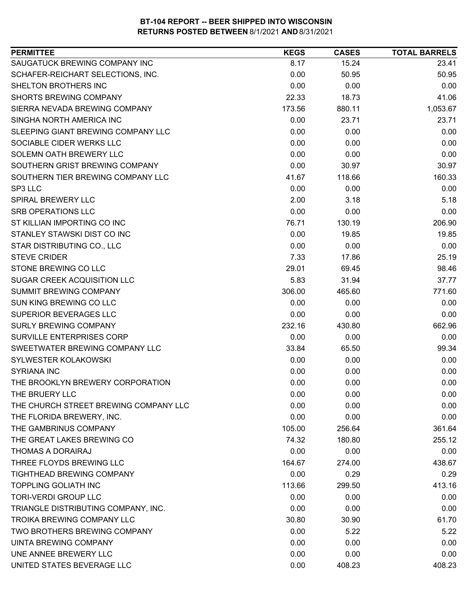| SAUGATUCK BREWING COMPANY INC<br>8.17<br>15.24<br>23.41<br>SCHAFER-REICHART SELECTIONS, INC.<br>0.00<br>50.95<br>50.95<br>SHELTON BROTHERS INC<br>0.00<br>0.00<br>0.00<br>22.33<br><b>SHORTS BREWING COMPANY</b><br>18.73<br>41.06<br>SIERRA NEVADA BREWING COMPANY<br>880.11<br>1,053.67<br>173.56<br>SINGHA NORTH AMERICA INC<br>23.71<br>23.71<br>0.00<br>SLEEPING GIANT BREWING COMPANY LLC<br>0.00<br>0.00<br>0.00<br>SOCIABLE CIDER WERKS LLC<br>0.00<br>0.00<br>0.00<br>SOLEMN OATH BREWERY LLC<br>0.00<br>0.00<br>0.00<br>SOUTHERN GRIST BREWING COMPANY<br>0.00<br>30.97<br>30.97<br>SOUTHERN TIER BREWING COMPANY LLC<br>118.66<br>160.33<br>41.67<br>SP3 LLC<br>0.00<br>0.00<br>0.00<br>2.00<br>3.18<br>5.18<br><b>SPIRAL BREWERY LLC</b><br><b>SRB OPERATIONS LLC</b><br>0.00<br>0.00<br>0.00<br>ST KILLIAN IMPORTING CO INC<br>206.90<br>76.71<br>130.19<br>STANLEY STAWSKI DIST CO INC<br>0.00<br>19.85<br>19.85<br>STAR DISTRIBUTING CO., LLC<br>0.00<br>0.00<br>0.00<br><b>STEVE CRIDER</b><br>7.33<br>25.19<br>17.86<br>STONE BREWING CO LLC<br>98.46<br>29.01<br>69.45<br>SUGAR CREEK ACQUISITION LLC<br>5.83<br>31.94<br>37.77<br>SUMMIT BREWING COMPANY<br>306.00<br>771.60<br>465.60<br>SUN KING BREWING CO LLC<br>0.00<br>0.00<br>0.00<br>SUPERIOR BEVERAGES LLC<br>0.00<br>0.00<br>0.00<br><b>SURLY BREWING COMPANY</b><br>232.16<br>430.80<br>662.96<br>0.00<br>SURVILLE ENTERPRISES CORP<br>0.00<br>0.00<br>SWEETWATER BREWING COMPANY LLC<br>99.34<br>33.84<br>65.50<br>SYLWESTER KOLAKOWSKI<br>0.00<br>0.00<br>0.00<br><b>SYRIANA INC</b><br>0.00<br>0.00<br>0.00<br>0.00<br>0.00<br>THE BROOKLYN BREWERY CORPORATION<br>0.00<br>THE BRUERY LLC<br>0.00<br>0.00<br>0.00<br>THE CHURCH STREET BREWING COMPANY LLC<br>0.00<br>0.00<br>0.00<br>THE FLORIDA BREWERY, INC.<br>0.00<br>0.00<br>0.00<br>THE GAMBRINUS COMPANY<br>361.64<br>105.00<br>256.64<br>THE GREAT LAKES BREWING CO<br>74.32<br>180.80<br>THOMAS A DORAIRAJ<br>0.00<br>0.00<br>0.00<br>THREE FLOYDS BREWING LLC<br>438.67<br>164.67<br>274.00<br>TIGHTHEAD BREWING COMPANY<br>0.00<br>0.29<br>0.29<br><b>TOPPLING GOLIATH INC</b><br>299.50<br>413.16<br>113.66<br><b>TORI-VERDI GROUP LLC</b><br>0.00<br>0.00<br>0.00<br>TRIANGLE DISTRIBUTING COMPANY, INC.<br>0.00<br>0.00<br>0.00<br><b>TROIKA BREWING COMPANY LLC</b><br>30.80<br>61.70<br>30.90<br>5.22<br>TWO BROTHERS BREWING COMPANY<br>0.00<br>5.22<br><b>UINTA BREWING COMPANY</b><br>0.00<br>0.00<br>0.00<br>UNE ANNEE BREWERY LLC<br>0.00<br>0.00<br>0.00<br>UNITED STATES BEVERAGE LLC<br>0.00<br>408.23<br>408.23 | <b>PERMITTEE</b> | <b>KEGS</b> | <b>CASES</b> | <b>TOTAL BARRELS</b> |
|----------------------------------------------------------------------------------------------------------------------------------------------------------------------------------------------------------------------------------------------------------------------------------------------------------------------------------------------------------------------------------------------------------------------------------------------------------------------------------------------------------------------------------------------------------------------------------------------------------------------------------------------------------------------------------------------------------------------------------------------------------------------------------------------------------------------------------------------------------------------------------------------------------------------------------------------------------------------------------------------------------------------------------------------------------------------------------------------------------------------------------------------------------------------------------------------------------------------------------------------------------------------------------------------------------------------------------------------------------------------------------------------------------------------------------------------------------------------------------------------------------------------------------------------------------------------------------------------------------------------------------------------------------------------------------------------------------------------------------------------------------------------------------------------------------------------------------------------------------------------------------------------------------------------------------------------------------------------------------------------------------------------------------------------------------------------------------------------------------------------------------------------------------------------------------------------------------------------------------------------------------------------------------------------------------------------------------------------------------------------------------------------------------------------------------------------------------------------------------------------------------------------------------------------------------------------------|------------------|-------------|--------------|----------------------|
|                                                                                                                                                                                                                                                                                                                                                                                                                                                                                                                                                                                                                                                                                                                                                                                                                                                                                                                                                                                                                                                                                                                                                                                                                                                                                                                                                                                                                                                                                                                                                                                                                                                                                                                                                                                                                                                                                                                                                                                                                                                                                                                                                                                                                                                                                                                                                                                                                                                                                                                                                                            |                  |             |              |                      |
|                                                                                                                                                                                                                                                                                                                                                                                                                                                                                                                                                                                                                                                                                                                                                                                                                                                                                                                                                                                                                                                                                                                                                                                                                                                                                                                                                                                                                                                                                                                                                                                                                                                                                                                                                                                                                                                                                                                                                                                                                                                                                                                                                                                                                                                                                                                                                                                                                                                                                                                                                                            |                  |             |              |                      |
|                                                                                                                                                                                                                                                                                                                                                                                                                                                                                                                                                                                                                                                                                                                                                                                                                                                                                                                                                                                                                                                                                                                                                                                                                                                                                                                                                                                                                                                                                                                                                                                                                                                                                                                                                                                                                                                                                                                                                                                                                                                                                                                                                                                                                                                                                                                                                                                                                                                                                                                                                                            |                  |             |              |                      |
|                                                                                                                                                                                                                                                                                                                                                                                                                                                                                                                                                                                                                                                                                                                                                                                                                                                                                                                                                                                                                                                                                                                                                                                                                                                                                                                                                                                                                                                                                                                                                                                                                                                                                                                                                                                                                                                                                                                                                                                                                                                                                                                                                                                                                                                                                                                                                                                                                                                                                                                                                                            |                  |             |              |                      |
|                                                                                                                                                                                                                                                                                                                                                                                                                                                                                                                                                                                                                                                                                                                                                                                                                                                                                                                                                                                                                                                                                                                                                                                                                                                                                                                                                                                                                                                                                                                                                                                                                                                                                                                                                                                                                                                                                                                                                                                                                                                                                                                                                                                                                                                                                                                                                                                                                                                                                                                                                                            |                  |             |              |                      |
|                                                                                                                                                                                                                                                                                                                                                                                                                                                                                                                                                                                                                                                                                                                                                                                                                                                                                                                                                                                                                                                                                                                                                                                                                                                                                                                                                                                                                                                                                                                                                                                                                                                                                                                                                                                                                                                                                                                                                                                                                                                                                                                                                                                                                                                                                                                                                                                                                                                                                                                                                                            |                  |             |              |                      |
|                                                                                                                                                                                                                                                                                                                                                                                                                                                                                                                                                                                                                                                                                                                                                                                                                                                                                                                                                                                                                                                                                                                                                                                                                                                                                                                                                                                                                                                                                                                                                                                                                                                                                                                                                                                                                                                                                                                                                                                                                                                                                                                                                                                                                                                                                                                                                                                                                                                                                                                                                                            |                  |             |              |                      |
|                                                                                                                                                                                                                                                                                                                                                                                                                                                                                                                                                                                                                                                                                                                                                                                                                                                                                                                                                                                                                                                                                                                                                                                                                                                                                                                                                                                                                                                                                                                                                                                                                                                                                                                                                                                                                                                                                                                                                                                                                                                                                                                                                                                                                                                                                                                                                                                                                                                                                                                                                                            |                  |             |              |                      |
|                                                                                                                                                                                                                                                                                                                                                                                                                                                                                                                                                                                                                                                                                                                                                                                                                                                                                                                                                                                                                                                                                                                                                                                                                                                                                                                                                                                                                                                                                                                                                                                                                                                                                                                                                                                                                                                                                                                                                                                                                                                                                                                                                                                                                                                                                                                                                                                                                                                                                                                                                                            |                  |             |              |                      |
|                                                                                                                                                                                                                                                                                                                                                                                                                                                                                                                                                                                                                                                                                                                                                                                                                                                                                                                                                                                                                                                                                                                                                                                                                                                                                                                                                                                                                                                                                                                                                                                                                                                                                                                                                                                                                                                                                                                                                                                                                                                                                                                                                                                                                                                                                                                                                                                                                                                                                                                                                                            |                  |             |              |                      |
|                                                                                                                                                                                                                                                                                                                                                                                                                                                                                                                                                                                                                                                                                                                                                                                                                                                                                                                                                                                                                                                                                                                                                                                                                                                                                                                                                                                                                                                                                                                                                                                                                                                                                                                                                                                                                                                                                                                                                                                                                                                                                                                                                                                                                                                                                                                                                                                                                                                                                                                                                                            |                  |             |              |                      |
| 255.12                                                                                                                                                                                                                                                                                                                                                                                                                                                                                                                                                                                                                                                                                                                                                                                                                                                                                                                                                                                                                                                                                                                                                                                                                                                                                                                                                                                                                                                                                                                                                                                                                                                                                                                                                                                                                                                                                                                                                                                                                                                                                                                                                                                                                                                                                                                                                                                                                                                                                                                                                                     |                  |             |              |                      |
|                                                                                                                                                                                                                                                                                                                                                                                                                                                                                                                                                                                                                                                                                                                                                                                                                                                                                                                                                                                                                                                                                                                                                                                                                                                                                                                                                                                                                                                                                                                                                                                                                                                                                                                                                                                                                                                                                                                                                                                                                                                                                                                                                                                                                                                                                                                                                                                                                                                                                                                                                                            |                  |             |              |                      |
|                                                                                                                                                                                                                                                                                                                                                                                                                                                                                                                                                                                                                                                                                                                                                                                                                                                                                                                                                                                                                                                                                                                                                                                                                                                                                                                                                                                                                                                                                                                                                                                                                                                                                                                                                                                                                                                                                                                                                                                                                                                                                                                                                                                                                                                                                                                                                                                                                                                                                                                                                                            |                  |             |              |                      |
|                                                                                                                                                                                                                                                                                                                                                                                                                                                                                                                                                                                                                                                                                                                                                                                                                                                                                                                                                                                                                                                                                                                                                                                                                                                                                                                                                                                                                                                                                                                                                                                                                                                                                                                                                                                                                                                                                                                                                                                                                                                                                                                                                                                                                                                                                                                                                                                                                                                                                                                                                                            |                  |             |              |                      |
|                                                                                                                                                                                                                                                                                                                                                                                                                                                                                                                                                                                                                                                                                                                                                                                                                                                                                                                                                                                                                                                                                                                                                                                                                                                                                                                                                                                                                                                                                                                                                                                                                                                                                                                                                                                                                                                                                                                                                                                                                                                                                                                                                                                                                                                                                                                                                                                                                                                                                                                                                                            |                  |             |              |                      |
|                                                                                                                                                                                                                                                                                                                                                                                                                                                                                                                                                                                                                                                                                                                                                                                                                                                                                                                                                                                                                                                                                                                                                                                                                                                                                                                                                                                                                                                                                                                                                                                                                                                                                                                                                                                                                                                                                                                                                                                                                                                                                                                                                                                                                                                                                                                                                                                                                                                                                                                                                                            |                  |             |              |                      |
|                                                                                                                                                                                                                                                                                                                                                                                                                                                                                                                                                                                                                                                                                                                                                                                                                                                                                                                                                                                                                                                                                                                                                                                                                                                                                                                                                                                                                                                                                                                                                                                                                                                                                                                                                                                                                                                                                                                                                                                                                                                                                                                                                                                                                                                                                                                                                                                                                                                                                                                                                                            |                  |             |              |                      |
|                                                                                                                                                                                                                                                                                                                                                                                                                                                                                                                                                                                                                                                                                                                                                                                                                                                                                                                                                                                                                                                                                                                                                                                                                                                                                                                                                                                                                                                                                                                                                                                                                                                                                                                                                                                                                                                                                                                                                                                                                                                                                                                                                                                                                                                                                                                                                                                                                                                                                                                                                                            |                  |             |              |                      |
|                                                                                                                                                                                                                                                                                                                                                                                                                                                                                                                                                                                                                                                                                                                                                                                                                                                                                                                                                                                                                                                                                                                                                                                                                                                                                                                                                                                                                                                                                                                                                                                                                                                                                                                                                                                                                                                                                                                                                                                                                                                                                                                                                                                                                                                                                                                                                                                                                                                                                                                                                                            |                  |             |              |                      |
|                                                                                                                                                                                                                                                                                                                                                                                                                                                                                                                                                                                                                                                                                                                                                                                                                                                                                                                                                                                                                                                                                                                                                                                                                                                                                                                                                                                                                                                                                                                                                                                                                                                                                                                                                                                                                                                                                                                                                                                                                                                                                                                                                                                                                                                                                                                                                                                                                                                                                                                                                                            |                  |             |              |                      |
|                                                                                                                                                                                                                                                                                                                                                                                                                                                                                                                                                                                                                                                                                                                                                                                                                                                                                                                                                                                                                                                                                                                                                                                                                                                                                                                                                                                                                                                                                                                                                                                                                                                                                                                                                                                                                                                                                                                                                                                                                                                                                                                                                                                                                                                                                                                                                                                                                                                                                                                                                                            |                  |             |              |                      |
|                                                                                                                                                                                                                                                                                                                                                                                                                                                                                                                                                                                                                                                                                                                                                                                                                                                                                                                                                                                                                                                                                                                                                                                                                                                                                                                                                                                                                                                                                                                                                                                                                                                                                                                                                                                                                                                                                                                                                                                                                                                                                                                                                                                                                                                                                                                                                                                                                                                                                                                                                                            |                  |             |              |                      |
|                                                                                                                                                                                                                                                                                                                                                                                                                                                                                                                                                                                                                                                                                                                                                                                                                                                                                                                                                                                                                                                                                                                                                                                                                                                                                                                                                                                                                                                                                                                                                                                                                                                                                                                                                                                                                                                                                                                                                                                                                                                                                                                                                                                                                                                                                                                                                                                                                                                                                                                                                                            |                  |             |              |                      |
|                                                                                                                                                                                                                                                                                                                                                                                                                                                                                                                                                                                                                                                                                                                                                                                                                                                                                                                                                                                                                                                                                                                                                                                                                                                                                                                                                                                                                                                                                                                                                                                                                                                                                                                                                                                                                                                                                                                                                                                                                                                                                                                                                                                                                                                                                                                                                                                                                                                                                                                                                                            |                  |             |              |                      |
|                                                                                                                                                                                                                                                                                                                                                                                                                                                                                                                                                                                                                                                                                                                                                                                                                                                                                                                                                                                                                                                                                                                                                                                                                                                                                                                                                                                                                                                                                                                                                                                                                                                                                                                                                                                                                                                                                                                                                                                                                                                                                                                                                                                                                                                                                                                                                                                                                                                                                                                                                                            |                  |             |              |                      |
|                                                                                                                                                                                                                                                                                                                                                                                                                                                                                                                                                                                                                                                                                                                                                                                                                                                                                                                                                                                                                                                                                                                                                                                                                                                                                                                                                                                                                                                                                                                                                                                                                                                                                                                                                                                                                                                                                                                                                                                                                                                                                                                                                                                                                                                                                                                                                                                                                                                                                                                                                                            |                  |             |              |                      |
|                                                                                                                                                                                                                                                                                                                                                                                                                                                                                                                                                                                                                                                                                                                                                                                                                                                                                                                                                                                                                                                                                                                                                                                                                                                                                                                                                                                                                                                                                                                                                                                                                                                                                                                                                                                                                                                                                                                                                                                                                                                                                                                                                                                                                                                                                                                                                                                                                                                                                                                                                                            |                  |             |              |                      |
|                                                                                                                                                                                                                                                                                                                                                                                                                                                                                                                                                                                                                                                                                                                                                                                                                                                                                                                                                                                                                                                                                                                                                                                                                                                                                                                                                                                                                                                                                                                                                                                                                                                                                                                                                                                                                                                                                                                                                                                                                                                                                                                                                                                                                                                                                                                                                                                                                                                                                                                                                                            |                  |             |              |                      |
|                                                                                                                                                                                                                                                                                                                                                                                                                                                                                                                                                                                                                                                                                                                                                                                                                                                                                                                                                                                                                                                                                                                                                                                                                                                                                                                                                                                                                                                                                                                                                                                                                                                                                                                                                                                                                                                                                                                                                                                                                                                                                                                                                                                                                                                                                                                                                                                                                                                                                                                                                                            |                  |             |              |                      |
|                                                                                                                                                                                                                                                                                                                                                                                                                                                                                                                                                                                                                                                                                                                                                                                                                                                                                                                                                                                                                                                                                                                                                                                                                                                                                                                                                                                                                                                                                                                                                                                                                                                                                                                                                                                                                                                                                                                                                                                                                                                                                                                                                                                                                                                                                                                                                                                                                                                                                                                                                                            |                  |             |              |                      |
|                                                                                                                                                                                                                                                                                                                                                                                                                                                                                                                                                                                                                                                                                                                                                                                                                                                                                                                                                                                                                                                                                                                                                                                                                                                                                                                                                                                                                                                                                                                                                                                                                                                                                                                                                                                                                                                                                                                                                                                                                                                                                                                                                                                                                                                                                                                                                                                                                                                                                                                                                                            |                  |             |              |                      |
|                                                                                                                                                                                                                                                                                                                                                                                                                                                                                                                                                                                                                                                                                                                                                                                                                                                                                                                                                                                                                                                                                                                                                                                                                                                                                                                                                                                                                                                                                                                                                                                                                                                                                                                                                                                                                                                                                                                                                                                                                                                                                                                                                                                                                                                                                                                                                                                                                                                                                                                                                                            |                  |             |              |                      |
|                                                                                                                                                                                                                                                                                                                                                                                                                                                                                                                                                                                                                                                                                                                                                                                                                                                                                                                                                                                                                                                                                                                                                                                                                                                                                                                                                                                                                                                                                                                                                                                                                                                                                                                                                                                                                                                                                                                                                                                                                                                                                                                                                                                                                                                                                                                                                                                                                                                                                                                                                                            |                  |             |              |                      |
|                                                                                                                                                                                                                                                                                                                                                                                                                                                                                                                                                                                                                                                                                                                                                                                                                                                                                                                                                                                                                                                                                                                                                                                                                                                                                                                                                                                                                                                                                                                                                                                                                                                                                                                                                                                                                                                                                                                                                                                                                                                                                                                                                                                                                                                                                                                                                                                                                                                                                                                                                                            |                  |             |              |                      |
|                                                                                                                                                                                                                                                                                                                                                                                                                                                                                                                                                                                                                                                                                                                                                                                                                                                                                                                                                                                                                                                                                                                                                                                                                                                                                                                                                                                                                                                                                                                                                                                                                                                                                                                                                                                                                                                                                                                                                                                                                                                                                                                                                                                                                                                                                                                                                                                                                                                                                                                                                                            |                  |             |              |                      |
|                                                                                                                                                                                                                                                                                                                                                                                                                                                                                                                                                                                                                                                                                                                                                                                                                                                                                                                                                                                                                                                                                                                                                                                                                                                                                                                                                                                                                                                                                                                                                                                                                                                                                                                                                                                                                                                                                                                                                                                                                                                                                                                                                                                                                                                                                                                                                                                                                                                                                                                                                                            |                  |             |              |                      |
|                                                                                                                                                                                                                                                                                                                                                                                                                                                                                                                                                                                                                                                                                                                                                                                                                                                                                                                                                                                                                                                                                                                                                                                                                                                                                                                                                                                                                                                                                                                                                                                                                                                                                                                                                                                                                                                                                                                                                                                                                                                                                                                                                                                                                                                                                                                                                                                                                                                                                                                                                                            |                  |             |              |                      |
|                                                                                                                                                                                                                                                                                                                                                                                                                                                                                                                                                                                                                                                                                                                                                                                                                                                                                                                                                                                                                                                                                                                                                                                                                                                                                                                                                                                                                                                                                                                                                                                                                                                                                                                                                                                                                                                                                                                                                                                                                                                                                                                                                                                                                                                                                                                                                                                                                                                                                                                                                                            |                  |             |              |                      |
|                                                                                                                                                                                                                                                                                                                                                                                                                                                                                                                                                                                                                                                                                                                                                                                                                                                                                                                                                                                                                                                                                                                                                                                                                                                                                                                                                                                                                                                                                                                                                                                                                                                                                                                                                                                                                                                                                                                                                                                                                                                                                                                                                                                                                                                                                                                                                                                                                                                                                                                                                                            |                  |             |              |                      |
|                                                                                                                                                                                                                                                                                                                                                                                                                                                                                                                                                                                                                                                                                                                                                                                                                                                                                                                                                                                                                                                                                                                                                                                                                                                                                                                                                                                                                                                                                                                                                                                                                                                                                                                                                                                                                                                                                                                                                                                                                                                                                                                                                                                                                                                                                                                                                                                                                                                                                                                                                                            |                  |             |              |                      |
|                                                                                                                                                                                                                                                                                                                                                                                                                                                                                                                                                                                                                                                                                                                                                                                                                                                                                                                                                                                                                                                                                                                                                                                                                                                                                                                                                                                                                                                                                                                                                                                                                                                                                                                                                                                                                                                                                                                                                                                                                                                                                                                                                                                                                                                                                                                                                                                                                                                                                                                                                                            |                  |             |              |                      |
|                                                                                                                                                                                                                                                                                                                                                                                                                                                                                                                                                                                                                                                                                                                                                                                                                                                                                                                                                                                                                                                                                                                                                                                                                                                                                                                                                                                                                                                                                                                                                                                                                                                                                                                                                                                                                                                                                                                                                                                                                                                                                                                                                                                                                                                                                                                                                                                                                                                                                                                                                                            |                  |             |              |                      |
|                                                                                                                                                                                                                                                                                                                                                                                                                                                                                                                                                                                                                                                                                                                                                                                                                                                                                                                                                                                                                                                                                                                                                                                                                                                                                                                                                                                                                                                                                                                                                                                                                                                                                                                                                                                                                                                                                                                                                                                                                                                                                                                                                                                                                                                                                                                                                                                                                                                                                                                                                                            |                  |             |              |                      |
|                                                                                                                                                                                                                                                                                                                                                                                                                                                                                                                                                                                                                                                                                                                                                                                                                                                                                                                                                                                                                                                                                                                                                                                                                                                                                                                                                                                                                                                                                                                                                                                                                                                                                                                                                                                                                                                                                                                                                                                                                                                                                                                                                                                                                                                                                                                                                                                                                                                                                                                                                                            |                  |             |              |                      |